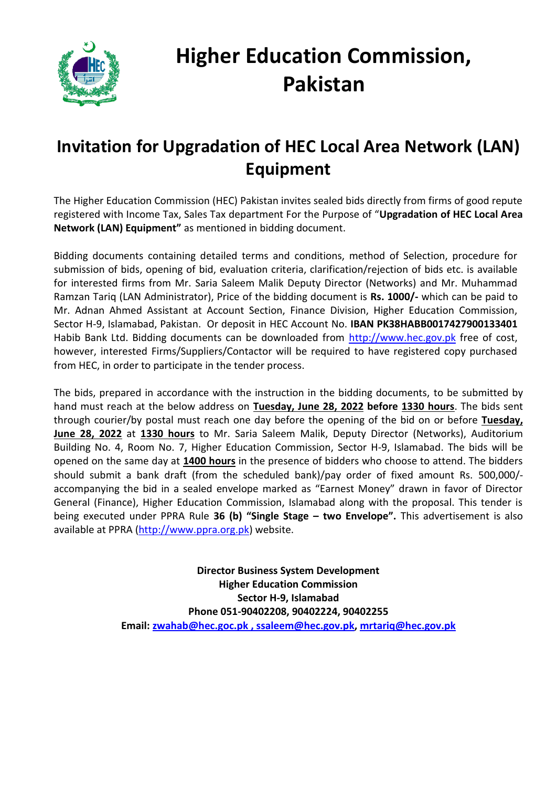

# **Higher Education Commission, Pakistan**

## **Invitation for Upgradation of HEC Local Area Network (LAN) Equipment**

The Higher Education Commission (HEC) Pakistan invites sealed bids directly from firms of good repute registered with Income Tax, Sales Tax department For the Purpose of "**Upgradation of HEC Local Area Network (LAN) Equipment"** as mentioned in bidding document.

Bidding documents containing detailed terms and conditions, method of Selection, procedure for submission of bids, opening of bid, evaluation criteria, clarification/rejection of bids etc. is available for interested firms from Mr. Saria Saleem Malik Deputy Director (Networks) and Mr. Muhammad Ramzan Tariq (LAN Administrator), Price of the bidding document is **Rs. 1000/-** which can be paid to Mr. Adnan Ahmed Assistant at Account Section, Finance Division, Higher Education Commission, Sector H-9, Islamabad, Pakistan. Or deposit in HEC Account No. **IBAN PK38HABB0017427900133401** Habib Bank Ltd. Bidding documents can be downloaded from [http://www.hec.gov.pk](http://www.hec.gov.pk/) free of cost, however, interested Firms/Suppliers/Contactor will be required to have registered copy purchased from HEC, in order to participate in the tender process.

The bids, prepared in accordance with the instruction in the bidding documents, to be submitted by hand must reach at the below address on **Tuesday, June 28, 2022 before 1330 hours**. The bids sent through courier/by postal must reach one day before the opening of the bid on or before **Tuesday, June 28, 2022** at **1330 hours** to Mr. Saria Saleem Malik, Deputy Director (Networks), Auditorium Building No. 4, Room No. 7, Higher Education Commission, Sector H-9, Islamabad. The bids will be opened on the same day at **1400 hours** in the presence of bidders who choose to attend. The bidders should submit a bank draft (from the scheduled bank)/pay order of fixed amount Rs. 500,000/ accompanying the bid in a sealed envelope marked as "Earnest Money" drawn in favor of Director General (Finance), Higher Education Commission, Islamabad along with the proposal. This tender is being executed under PPRA Rule **36 (b) "Single Stage – two Envelope".** This advertisement is also available at PPRA [\(http://www.ppra.org.pk\)](http://www.ppra.org.pk/) website.

> **Director Business System Development Higher Education Commission Sector H-9, Islamabad Phone 051-90402208, 90402224, 90402255 Email: [zwahab@hec.goc.pk , ssaleem@hec.gov.pk,](mailto:zwahab@hec.goc.pk%20,%20ssaleem@hec.gov.pk) mrtariq@hec.gov.pk**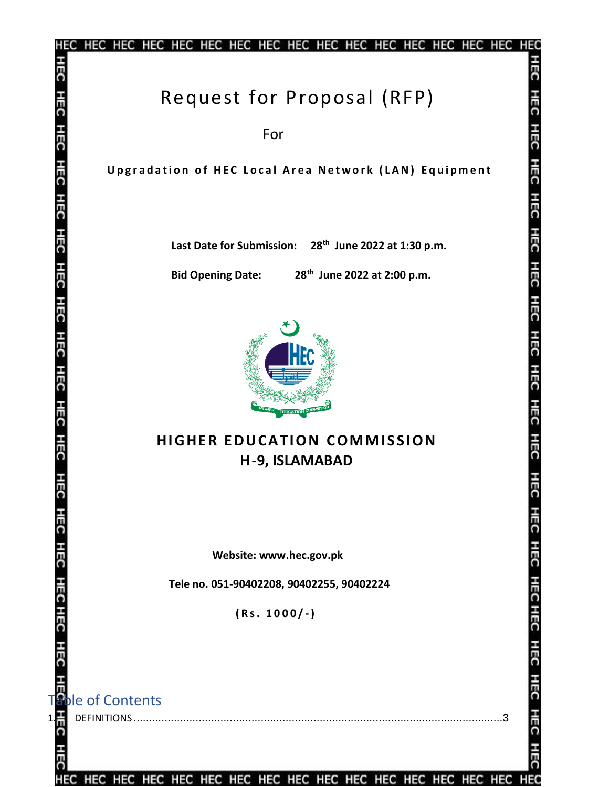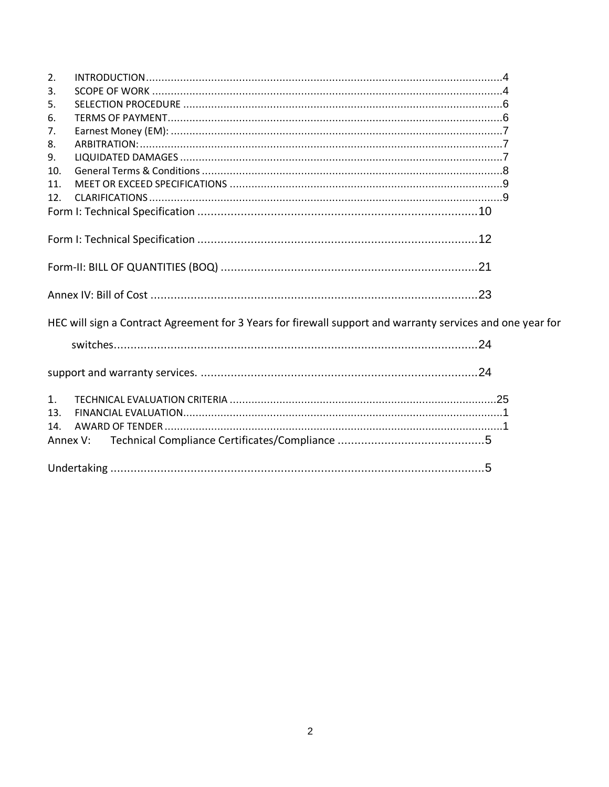| 2.             |                                                                                                            |  |
|----------------|------------------------------------------------------------------------------------------------------------|--|
| 3.             |                                                                                                            |  |
| 5.             |                                                                                                            |  |
| 6.             |                                                                                                            |  |
| 7.             |                                                                                                            |  |
| 8.             |                                                                                                            |  |
| 9.             |                                                                                                            |  |
| 10.            |                                                                                                            |  |
| 11.            |                                                                                                            |  |
| 12.            |                                                                                                            |  |
|                |                                                                                                            |  |
|                |                                                                                                            |  |
|                |                                                                                                            |  |
|                |                                                                                                            |  |
|                | HEC will sign a Contract Agreement for 3 Years for firewall support and warranty services and one year for |  |
|                |                                                                                                            |  |
|                |                                                                                                            |  |
| 1 <sub>1</sub> |                                                                                                            |  |
| 13.            |                                                                                                            |  |
| 14.            |                                                                                                            |  |
| Annex V:       |                                                                                                            |  |
|                |                                                                                                            |  |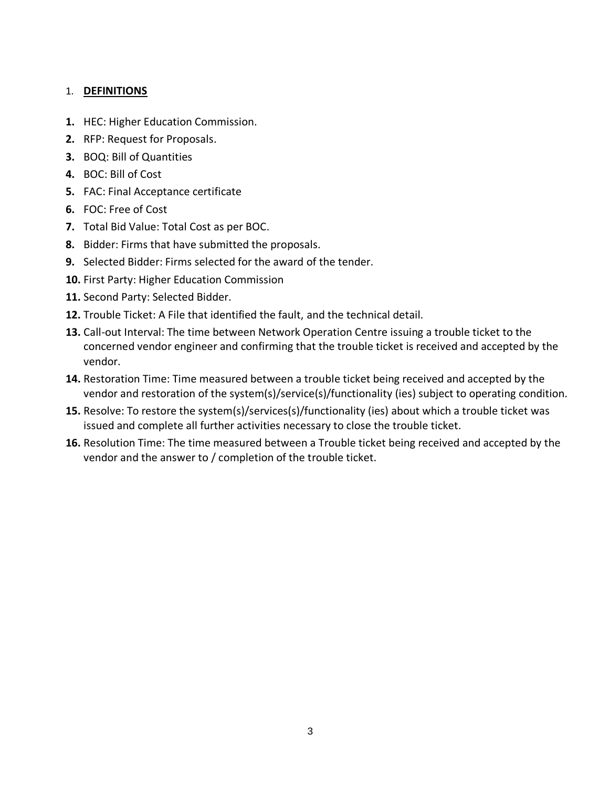### <span id="page-3-0"></span>1. **DEFINITIONS**

- **1.** HEC: Higher Education Commission.
- **2.** RFP: Request for Proposals.
- **3.** BOQ: Bill of Quantities
- **4.** BOC: Bill of Cost
- **5.** FAC: Final Acceptance certificate
- **6.** FOC: Free of Cost
- **7.** Total Bid Value: Total Cost as per BOC.
- **8.** Bidder: Firms that have submitted the proposals.
- **9.** Selected Bidder: Firms selected for the award of the tender.
- **10.** First Party: Higher Education Commission
- **11.** Second Party: Selected Bidder.
- **12.** Trouble Ticket: A File that identified the fault, and the technical detail.
- **13.** Call-out Interval: The time between Network Operation Centre issuing a trouble ticket to the concerned vendor engineer and confirming that the trouble ticket is received and accepted by the vendor.
- **14.** Restoration Time: Time measured between a trouble ticket being received and accepted by the vendor and restoration of the system(s)/service(s)/functionality (ies) subject to operating condition.
- **15.** Resolve: To restore the system(s)/services(s)/functionality (ies) about which a trouble ticket was issued and complete all further activities necessary to close the trouble ticket.
- **16.** Resolution Time: The time measured between a Trouble ticket being received and accepted by the vendor and the answer to / completion of the trouble ticket.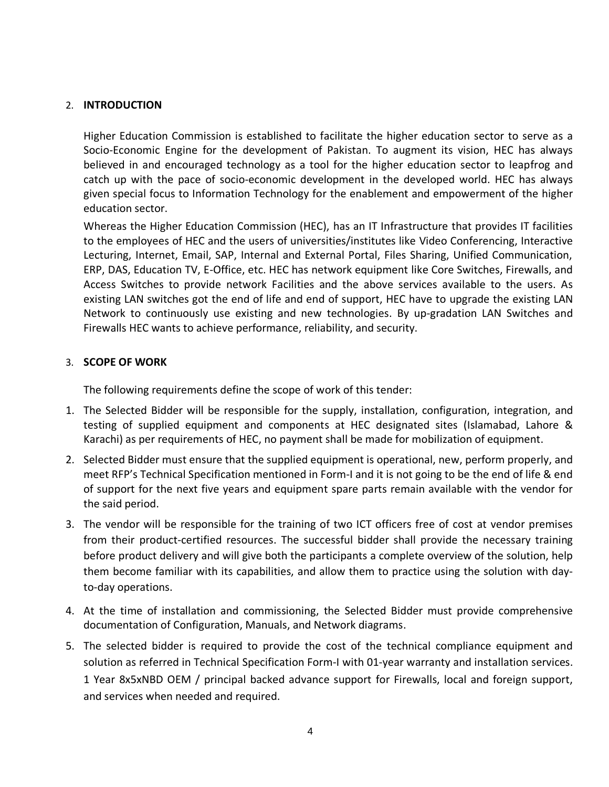### <span id="page-4-0"></span>2. **INTRODUCTION**

Higher Education Commission is established to facilitate the higher education sector to serve as a Socio-Economic Engine for the development of Pakistan. To augment its vision, HEC has always believed in and encouraged technology as a tool for the higher education sector to leapfrog and catch up with the pace of socio-economic development in the developed world. HEC has always given special focus to Information Technology for the enablement and empowerment of the higher education sector.

Whereas the Higher Education Commission (HEC), has an IT Infrastructure that provides IT facilities to the employees of HEC and the users of universities/institutes like Video Conferencing, Interactive Lecturing, Internet, Email, SAP, Internal and External Portal, Files Sharing, Unified Communication, ERP, DAS, Education TV, E-Office, etc. HEC has network equipment like Core Switches, Firewalls, and Access Switches to provide network Facilities and the above services available to the users. As existing LAN switches got the end of life and end of support, HEC have to upgrade the existing LAN Network to continuously use existing and new technologies. By up-gradation LAN Switches and Firewalls HEC wants to achieve performance, reliability, and security.

#### <span id="page-4-1"></span>3. **SCOPE OF WORK**

The following requirements define the scope of work of this tender:

- 1. The Selected Bidder will be responsible for the supply, installation, configuration, integration, and testing of supplied equipment and components at HEC designated sites (Islamabad, Lahore & Karachi) as per requirements of HEC, no payment shall be made for mobilization of equipment.
- 2. Selected Bidder must ensure that the supplied equipment is operational, new, perform properly, and meet RFP's Technical Specification mentioned in Form-I and it is not going to be the end of life & end of support for the next five years and equipment spare parts remain available with the vendor for the said period.
- 3. The vendor will be responsible for the training of two ICT officers free of cost at vendor premises from their product-certified resources. The successful bidder shall provide the necessary training before product delivery and will give both the participants a complete overview of the solution, help them become familiar with its capabilities, and allow them to practice using the solution with dayto-day operations.
- 4. At the time of installation and commissioning, the Selected Bidder must provide comprehensive documentation of Configuration, Manuals, and Network diagrams.
- 5. The selected bidder is required to provide the cost of the technical compliance equipment and solution as referred in Technical Specification Form-I with 01-year warranty and installation services. 1 Year 8x5xNBD OEM / principal backed advance support for Firewalls, local and foreign support, and services when needed and required.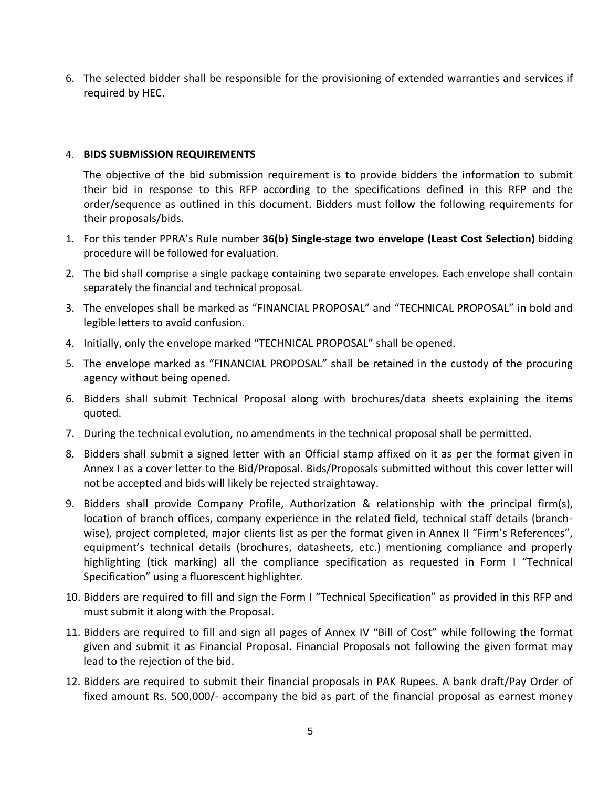6. The selected bidder shall be responsible for the provisioning of extended warranties and services if required by HEC.

### 4. **BIDS SUBMISSION REQUIREMENTS**

The objective of the bid submission requirement is to provide bidders the information to submit their bid in response to this RFP according to the specifications defined in this RFP and the order/sequence as outlined in this document. Bidders must follow the following requirements for their proposals/bids.

- 1. For this tender PPRA's Rule number **36(b) Single-stage two envelope (Least Cost Selection)** bidding procedure will be followed for evaluation.
- 2. The bid shall comprise a single package containing two separate envelopes. Each envelope shall contain separately the financial and technical proposal.
- 3. The envelopes shall be marked as "FINANCIAL PROPOSAL" and "TECHNICAL PROPOSAL" in bold and legible letters to avoid confusion.
- 4. Initially, only the envelope marked "TECHNICAL PROPOSAL" shall be opened.
- 5. The envelope marked as "FINANCIAL PROPOSAL" shall be retained in the custody of the procuring agency without being opened.
- 6. Bidders shall submit Technical Proposal along with brochures/data sheets explaining the items quoted.
- 7. During the technical evolution, no amendments in the technical proposal shall be permitted.
- 8. Bidders shall submit a signed letter with an Official stamp affixed on it as per the format given in Annex I as a cover letter to the Bid/Proposal. Bids/Proposals submitted without this cover letter will not be accepted and bids will likely be rejected straightaway.
- 9. Bidders shall provide Company Profile, Authorization & relationship with the principal firm(s), location of branch offices, company experience in the related field, technical staff details (branchwise), project completed, major clients list as per the format given in Annex II "Firm's References", equipment's technical details (brochures, datasheets, etc.) mentioning compliance and properly highlighting (tick marking) all the compliance specification as requested in Form I "Technical Specification" using a fluorescent highlighter.
- 10. Bidders are required to fill and sign the Form I "Technical Specification" as provided in this RFP and must submit it along with the Proposal.
- 11. Bidders are required to fill and sign all pages of Annex IV "Bill of Cost" while following the format given and submit it as Financial Proposal. Financial Proposals not following the given format may lead to the rejection of the bid.
- 12. Bidders are required to submit their financial proposals in PAK Rupees. A bank draft/Pay Order of fixed amount Rs. 500,000/- accompany the bid as part of the financial proposal as earnest money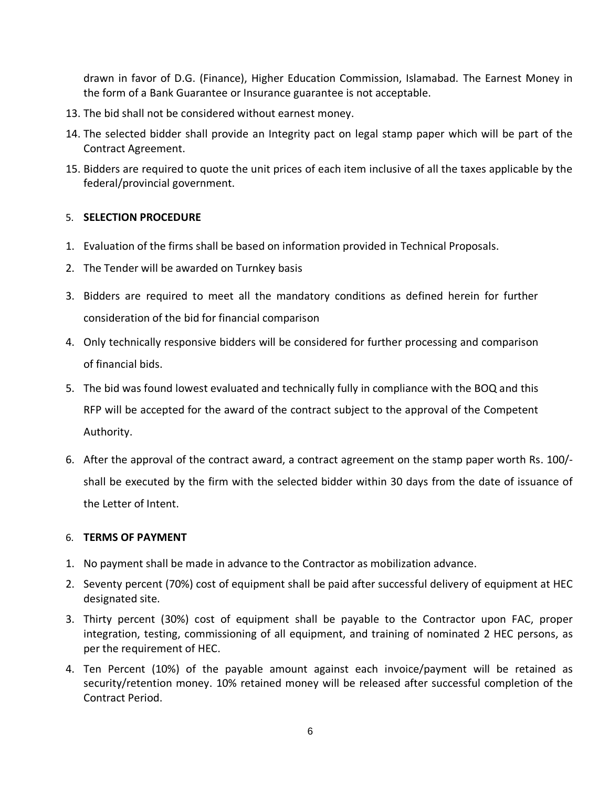drawn in favor of D.G. (Finance), Higher Education Commission, Islamabad. The Earnest Money in the form of a Bank Guarantee or Insurance guarantee is not acceptable.

- 13. The bid shall not be considered without earnest money.
- 14. The selected bidder shall provide an Integrity pact on legal stamp paper which will be part of the Contract Agreement.
- 15. Bidders are required to quote the unit prices of each item inclusive of all the taxes applicable by the federal/provincial government.

### <span id="page-6-0"></span>5. **SELECTION PROCEDURE**

- 1. Evaluation of the firms shall be based on information provided in Technical Proposals.
- 2. The Tender will be awarded on Turnkey basis
- 3. Bidders are required to meet all the mandatory conditions as defined herein for further consideration of the bid for financial comparison
- 4. Only technically responsive bidders will be considered for further processing and comparison of financial bids.
- 5. The bid was found lowest evaluated and technically fully in compliance with the BOQ and this RFP will be accepted for the award of the contract subject to the approval of the Competent Authority.
- 6. After the approval of the contract award, a contract agreement on the stamp paper worth Rs. 100/ shall be executed by the firm with the selected bidder within 30 days from the date of issuance of the Letter of Intent.

### <span id="page-6-1"></span>6. **TERMS OF PAYMENT**

- 1. No payment shall be made in advance to the Contractor as mobilization advance.
- 2. Seventy percent (70%) cost of equipment shall be paid after successful delivery of equipment at HEC designated site.
- 3. Thirty percent (30%) cost of equipment shall be payable to the Contractor upon FAC, proper integration, testing, commissioning of all equipment, and training of nominated 2 HEC persons, as per the requirement of HEC.
- 4. Ten Percent (10%) of the payable amount against each invoice/payment will be retained as security/retention money. 10% retained money will be released after successful completion of the Contract Period.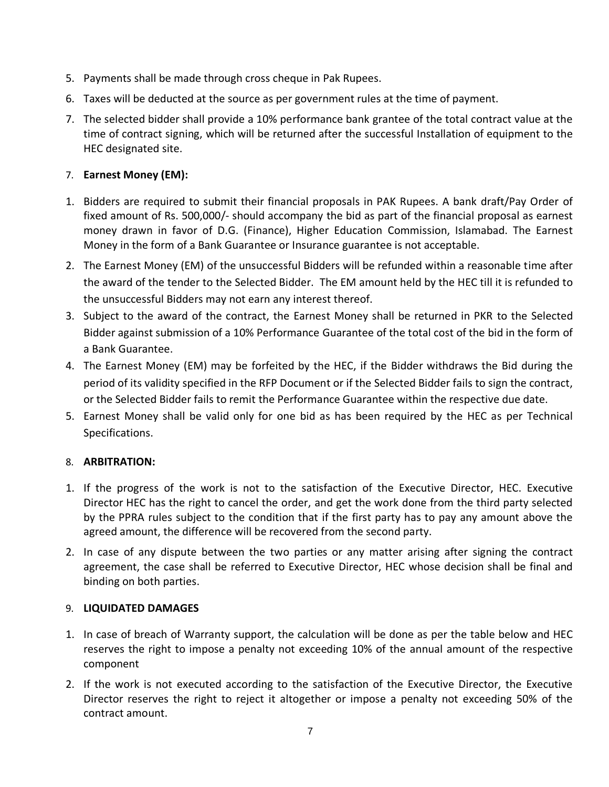- 5. Payments shall be made through cross cheque in Pak Rupees.
- 6. Taxes will be deducted at the source as per government rules at the time of payment.
- 7. The selected bidder shall provide a 10% performance bank grantee of the total contract value at the time of contract signing, which will be returned after the successful Installation of equipment to the HEC designated site.

### <span id="page-7-0"></span>7. **Earnest Money (EM):**

- 1. Bidders are required to submit their financial proposals in PAK Rupees. A bank draft/Pay Order of fixed amount of Rs. 500,000/- should accompany the bid as part of the financial proposal as earnest money drawn in favor of D.G. (Finance), Higher Education Commission, Islamabad. The Earnest Money in the form of a Bank Guarantee or Insurance guarantee is not acceptable.
- 2. The Earnest Money (EM) of the unsuccessful Bidders will be refunded within a reasonable time after the award of the tender to the Selected Bidder. The EM amount held by the HEC till it is refunded to the unsuccessful Bidders may not earn any interest thereof.
- 3. Subject to the award of the contract, the Earnest Money shall be returned in PKR to the Selected Bidder against submission of a 10% Performance Guarantee of the total cost of the bid in the form of a Bank Guarantee.
- 4. The Earnest Money (EM) may be forfeited by the HEC, if the Bidder withdraws the Bid during the period of its validity specified in the RFP Document or if the Selected Bidder fails to sign the contract, or the Selected Bidder fails to remit the Performance Guarantee within the respective due date.
- 5. Earnest Money shall be valid only for one bid as has been required by the HEC as per Technical Specifications.

### <span id="page-7-1"></span>8. **ARBITRATION:**

- 1. If the progress of the work is not to the satisfaction of the Executive Director, HEC. Executive Director HEC has the right to cancel the order, and get the work done from the third party selected by the PPRA rules subject to the condition that if the first party has to pay any amount above the agreed amount, the difference will be recovered from the second party.
- 2. In case of any dispute between the two parties or any matter arising after signing the contract agreement, the case shall be referred to Executive Director, HEC whose decision shall be final and binding on both parties.

### <span id="page-7-2"></span>9. **LIQUIDATED DAMAGES**

- 1. In case of breach of Warranty support, the calculation will be done as per the table below and HEC reserves the right to impose a penalty not exceeding 10% of the annual amount of the respective component
- 2. If the work is not executed according to the satisfaction of the Executive Director, the Executive Director reserves the right to reject it altogether or impose a penalty not exceeding 50% of the contract amount.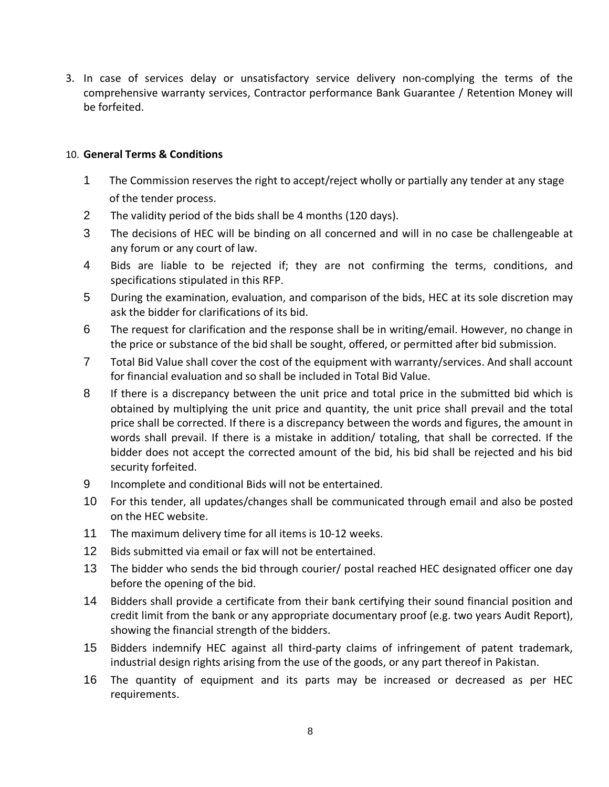3. In case of services delay or unsatisfactory service delivery non-complying the terms of the comprehensive warranty services, Contractor performance Bank Guarantee / Retention Money will be forfeited.

### <span id="page-8-0"></span>10. **General Terms & Conditions**

- 1 The Commission reserves the right to accept/reject wholly or partially any tender at any stage of the tender process.
- 2 The validity period of the bids shall be 4 months (120 days).
- 3 The decisions of HEC will be binding on all concerned and will in no case be challengeable at any forum or any court of law.
- 4 Bids are liable to be rejected if; they are not confirming the terms, conditions, and specifications stipulated in this RFP.
- 5 During the examination, evaluation, and comparison of the bids, HEC at its sole discretion may ask the bidder for clarifications of its bid.
- 6 The request for clarification and the response shall be in writing/email. However, no change in the price or substance of the bid shall be sought, offered, or permitted after bid submission.
- 7 Total Bid Value shall cover the cost of the equipment with warranty/services. And shall account for financial evaluation and so shall be included in Total Bid Value.
- 8 If there is a discrepancy between the unit price and total price in the submitted bid which is obtained by multiplying the unit price and quantity, the unit price shall prevail and the total price shall be corrected. If there is a discrepancy between the words and figures, the amount in words shall prevail. If there is a mistake in addition/ totaling, that shall be corrected. If the bidder does not accept the corrected amount of the bid, his bid shall be rejected and his bid security forfeited.
- 9 Incomplete and conditional Bids will not be entertained.
- 10 For this tender, all updates/changes shall be communicated through email and also be posted on the HEC website.
- 11 The maximum delivery time for all items is 10-12 weeks.
- 12 Bids submitted via email or fax will not be entertained.
- 13 The bidder who sends the bid through courier/ postal reached HEC designated officer one day before the opening of the bid.
- 14 Bidders shall provide a certificate from their bank certifying their sound financial position and credit limit from the bank or any appropriate documentary proof (e.g. two years Audit Report), showing the financial strength of the bidders.
- 15 Bidders indemnify HEC against all third-party claims of infringement of patent trademark, industrial design rights arising from the use of the goods, or any part thereof in Pakistan.
- 16 The quantity of equipment and its parts may be increased or decreased as per HEC requirements.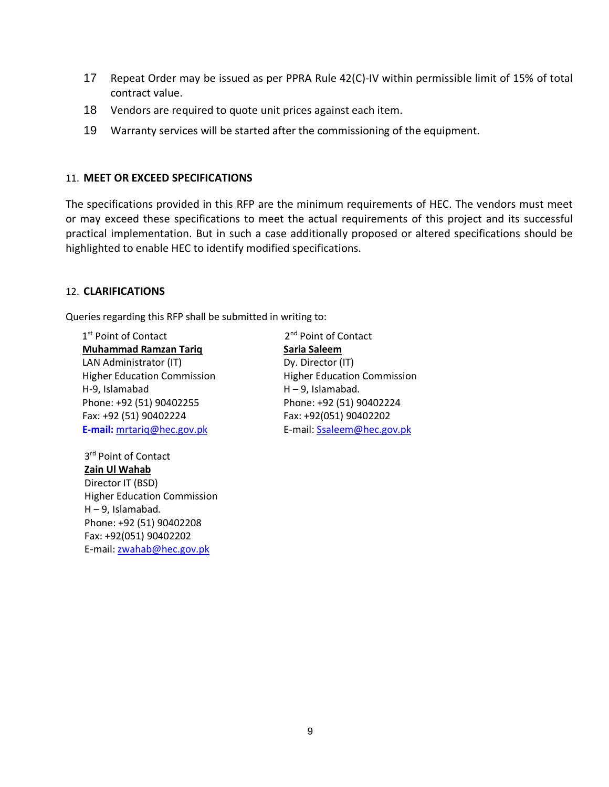- 17 Repeat Order may be issued as per PPRA Rule 42(C)-IV within permissible limit of 15% of total contract value.
- 18 Vendors are required to quote unit prices against each item.
- 19 Warranty services will be started after the commissioning of the equipment.

### <span id="page-9-0"></span>11. **MEET OR EXCEED SPECIFICATIONS**

The specifications provided in this RFP are the minimum requirements of HEC. The vendors must meet or may exceed these specifications to meet the actual requirements of this project and its successful practical implementation. But in such a case additionally proposed or altered specifications should be highlighted to enable HEC to identify modified specifications.

#### <span id="page-9-1"></span>12. **CLARIFICATIONS**

Queries regarding this RFP shall be submitted in writing to:

1<sup>st</sup> Point of Contact 2 **Muhammad Ramzan Tariq** LAN Administrator (IT) Higher Education Commission H-9, Islamabad Phone: +92 (51) 90402255 Fax: +92 (51) 90402224 **E-mail:** [mrtariq@hec.gov.pk](mailto:mrtariq@hec.gov.pk)

> 3<sup>rd</sup> Point of Contact **Zain Ul Wahab** Director IT (BSD) Higher Education Commission H – 9, Islamabad. Phone: +92 (51) 90402208 Fax: +92(051) 90402202 E-mail[: zwahab@hec.gov.pk](mailto:zwahab@hec.gov.pk)

2<sup>nd</sup> Point of Contact **Saria Saleem** Dy. Director (IT) Higher Education Commission H – 9, Islamabad. Phone: +92 (51) 90402224 Fax: +92(051) 90402202 E-mail[: Ssaleem@hec.gov.pk](mailto:Ssaleem@hec.gov.pk)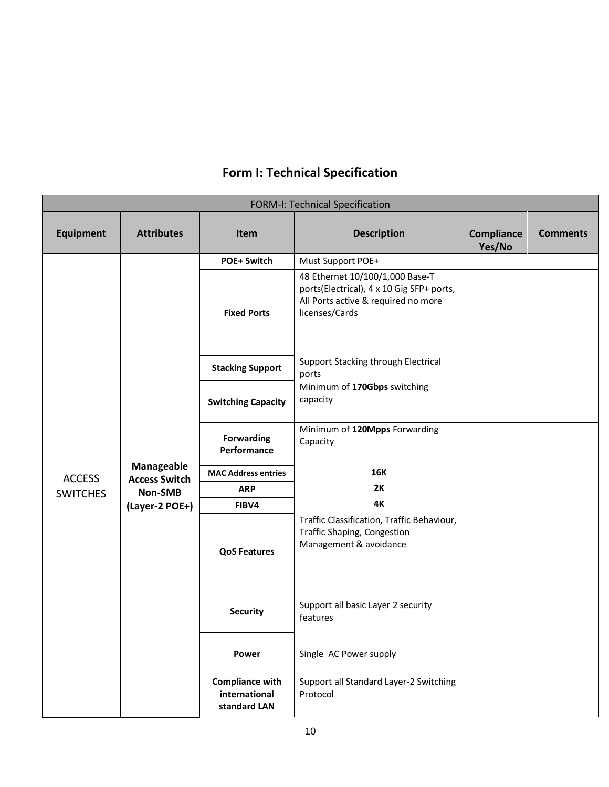<span id="page-10-0"></span>

| <b>FORM-I: Technical Specification</b> |                                    |                                                         |                                                                                                                                       |                             |                 |
|----------------------------------------|------------------------------------|---------------------------------------------------------|---------------------------------------------------------------------------------------------------------------------------------------|-----------------------------|-----------------|
| <b>Equipment</b>                       | <b>Attributes</b>                  | <b>Item</b>                                             | <b>Description</b>                                                                                                                    | <b>Compliance</b><br>Yes/No | <b>Comments</b> |
|                                        |                                    | <b>POE+ Switch</b>                                      | Must Support POE+                                                                                                                     |                             |                 |
|                                        |                                    | <b>Fixed Ports</b>                                      | 48 Ethernet 10/100/1,000 Base-T<br>ports(Electrical), 4 x 10 Gig SFP+ ports,<br>All Ports active & required no more<br>licenses/Cards |                             |                 |
|                                        |                                    | <b>Stacking Support</b>                                 | Support Stacking through Electrical<br>ports                                                                                          |                             |                 |
|                                        |                                    | <b>Switching Capacity</b>                               | Minimum of 170Gbps switching<br>capacity                                                                                              |                             |                 |
|                                        |                                    | <b>Forwarding</b><br>Performance                        | Minimum of 120Mpps Forwarding<br>Capacity                                                                                             |                             |                 |
| <b>ACCESS</b>                          | Manageable<br><b>Access Switch</b> | <b>MAC Address entries</b>                              | <b>16K</b>                                                                                                                            |                             |                 |
| <b>SWITCHES</b>                        | Non-SMB                            | <b>ARP</b>                                              | 2K                                                                                                                                    |                             |                 |
|                                        | (Layer-2 POE+)                     | FIBV4                                                   | 4K                                                                                                                                    |                             |                 |
|                                        |                                    | <b>QoS Features</b>                                     | Traffic Classification, Traffic Behaviour,<br><b>Traffic Shaping, Congestion</b><br>Management & avoidance                            |                             |                 |
|                                        |                                    | <b>Security</b>                                         | Support all basic Layer 2 security<br>features                                                                                        |                             |                 |
|                                        |                                    | Power                                                   | Single AC Power supply                                                                                                                |                             |                 |
|                                        |                                    | <b>Compliance with</b><br>international<br>standard LAN | Support all Standard Layer-2 Switching<br>Protocol                                                                                    |                             |                 |

### **Form I: Technical Specification**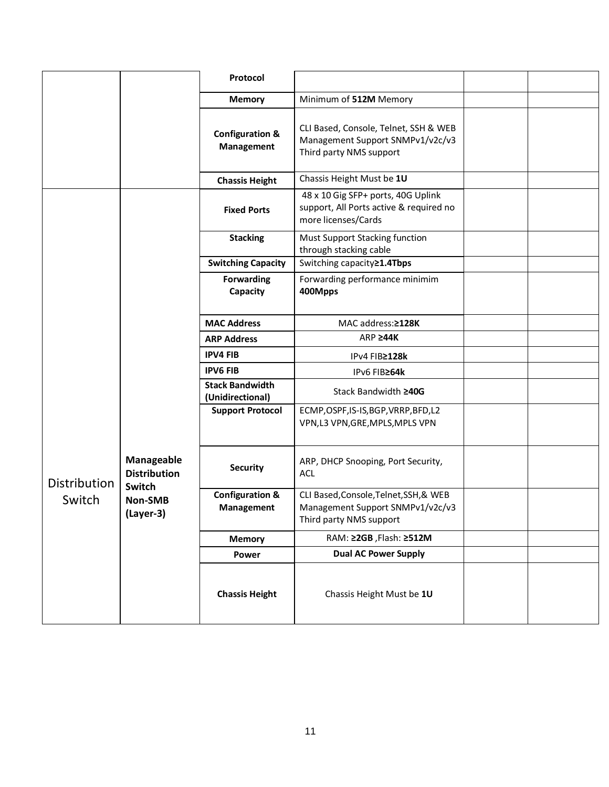|              |                                             | Protocol                                   |                                                                                                       |  |
|--------------|---------------------------------------------|--------------------------------------------|-------------------------------------------------------------------------------------------------------|--|
|              |                                             | <b>Memory</b>                              | Minimum of 512M Memory                                                                                |  |
|              |                                             | <b>Configuration &amp;</b><br>Management   | CLI Based, Console, Telnet, SSH & WEB<br>Management Support SNMPv1/v2c/v3<br>Third party NMS support  |  |
|              |                                             | <b>Chassis Height</b>                      | Chassis Height Must be 1U                                                                             |  |
|              |                                             | <b>Fixed Ports</b>                         | 48 x 10 Gig SFP+ ports, 40G Uplink<br>support, All Ports active & required no<br>more licenses/Cards  |  |
|              |                                             | <b>Stacking</b>                            | Must Support Stacking function<br>through stacking cable                                              |  |
|              |                                             | <b>Switching Capacity</b>                  | Switching capacity≥1.4Tbps                                                                            |  |
|              |                                             | <b>Forwarding</b><br>Capacity              | Forwarding performance minimim<br>400Mpps                                                             |  |
|              |                                             | <b>MAC Address</b>                         | MAC address: ≥128K                                                                                    |  |
|              |                                             | <b>ARP Address</b>                         | ARP <b>244K</b>                                                                                       |  |
|              |                                             | <b>IPV4 FIB</b>                            | IPv4 FIB≥128k                                                                                         |  |
|              |                                             | <b>IPV6 FIB</b>                            | IPv6 FIB≥64k                                                                                          |  |
|              |                                             | <b>Stack Bandwidth</b><br>(Unidirectional) | Stack Bandwidth ≥40G                                                                                  |  |
|              |                                             | <b>Support Protocol</b>                    | ECMP, OSPF, IS-IS, BGP, VRRP, BFD, L2<br>VPN,L3 VPN,GRE,MPLS,MPLS VPN                                 |  |
| Distribution | Manageable<br><b>Distribution</b><br>Switch | <b>Security</b>                            | ARP, DHCP Snooping, Port Security,<br><b>ACL</b>                                                      |  |
| Switch       | <b>Non-SMB</b><br>(Layer-3)                 | <b>Configuration &amp;</b><br>Management   | CLI Based, Console, Telnet, SSH, & WEB<br>Management Support SNMPv1/v2c/v3<br>Third party NMS support |  |
|              |                                             | <b>Memory</b>                              | RAM: ≥2GB, Flash: ≥512M                                                                               |  |
|              |                                             | Power                                      | <b>Dual AC Power Supply</b>                                                                           |  |
|              |                                             | <b>Chassis Height</b>                      | Chassis Height Must be 1U                                                                             |  |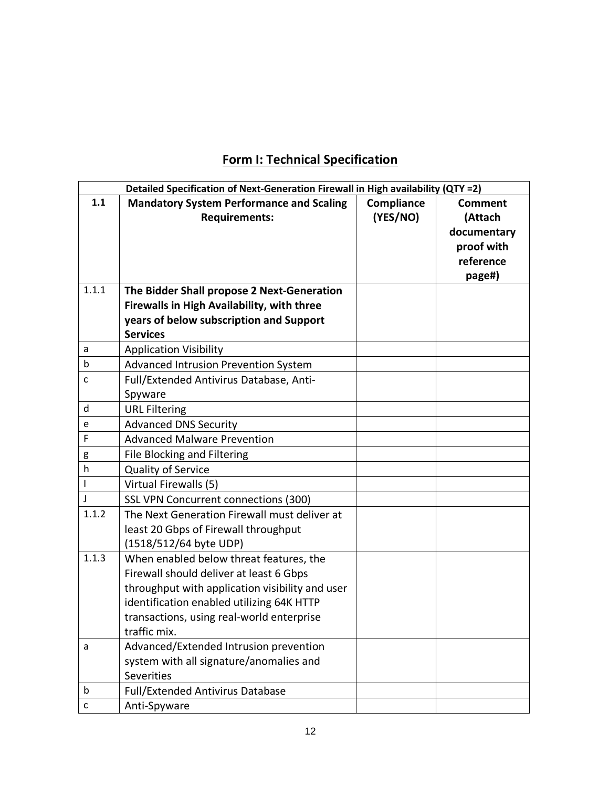### **Form I: Technical Specification**

<span id="page-12-0"></span>

|              | Detailed Specification of Next-Generation Firewall in High availability (QTY =2)                                                                                                                                                                |                        |                                                                               |  |  |
|--------------|-------------------------------------------------------------------------------------------------------------------------------------------------------------------------------------------------------------------------------------------------|------------------------|-------------------------------------------------------------------------------|--|--|
| 1.1          | <b>Mandatory System Performance and Scaling</b><br><b>Requirements:</b>                                                                                                                                                                         | Compliance<br>(YES/NO) | <b>Comment</b><br>(Attach<br>documentary<br>proof with<br>reference<br>page#) |  |  |
| 1.1.1        | The Bidder Shall propose 2 Next-Generation                                                                                                                                                                                                      |                        |                                                                               |  |  |
|              | Firewalls in High Availability, with three                                                                                                                                                                                                      |                        |                                                                               |  |  |
|              | years of below subscription and Support                                                                                                                                                                                                         |                        |                                                                               |  |  |
|              | <b>Services</b>                                                                                                                                                                                                                                 |                        |                                                                               |  |  |
| a            | <b>Application Visibility</b>                                                                                                                                                                                                                   |                        |                                                                               |  |  |
| b            | Advanced Intrusion Prevention System                                                                                                                                                                                                            |                        |                                                                               |  |  |
| C            | Full/Extended Antivirus Database, Anti-                                                                                                                                                                                                         |                        |                                                                               |  |  |
|              | Spyware                                                                                                                                                                                                                                         |                        |                                                                               |  |  |
| d            | <b>URL Filtering</b>                                                                                                                                                                                                                            |                        |                                                                               |  |  |
| e            | <b>Advanced DNS Security</b>                                                                                                                                                                                                                    |                        |                                                                               |  |  |
| F            | <b>Advanced Malware Prevention</b>                                                                                                                                                                                                              |                        |                                                                               |  |  |
| g            | File Blocking and Filtering                                                                                                                                                                                                                     |                        |                                                                               |  |  |
| h            | <b>Quality of Service</b>                                                                                                                                                                                                                       |                        |                                                                               |  |  |
|              | Virtual Firewalls (5)                                                                                                                                                                                                                           |                        |                                                                               |  |  |
| J            | SSL VPN Concurrent connections (300)                                                                                                                                                                                                            |                        |                                                                               |  |  |
| 1.1.2        | The Next Generation Firewall must deliver at<br>least 20 Gbps of Firewall throughput<br>(1518/512/64 byte UDP)                                                                                                                                  |                        |                                                                               |  |  |
| 1.1.3        | When enabled below threat features, the<br>Firewall should deliver at least 6 Gbps<br>throughput with application visibility and user<br>identification enabled utilizing 64K HTTP<br>transactions, using real-world enterprise<br>traffic mix. |                        |                                                                               |  |  |
| a            | Advanced/Extended Intrusion prevention<br>system with all signature/anomalies and<br><b>Severities</b>                                                                                                                                          |                        |                                                                               |  |  |
| b            | Full/Extended Antivirus Database                                                                                                                                                                                                                |                        |                                                                               |  |  |
| $\mathsf{C}$ | Anti-Spyware                                                                                                                                                                                                                                    |                        |                                                                               |  |  |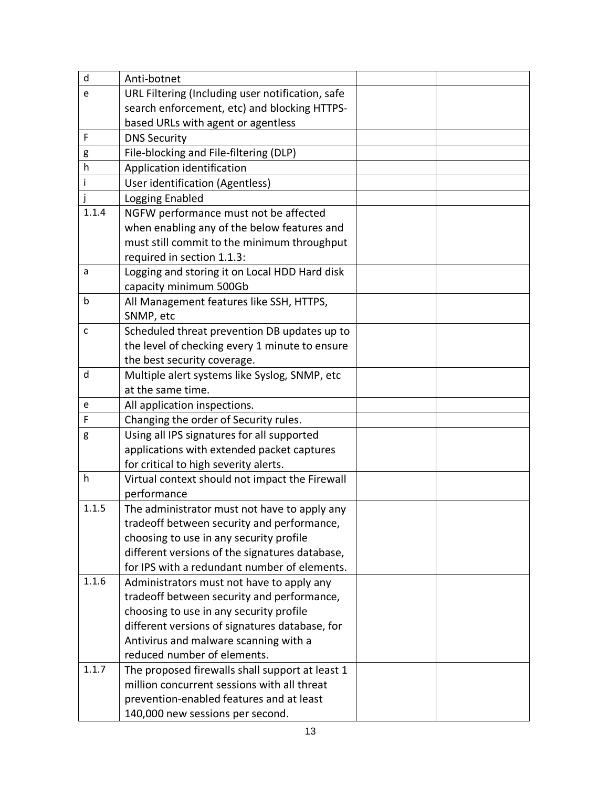| d     | Anti-botnet                                      |  |
|-------|--------------------------------------------------|--|
| e     | URL Filtering (Including user notification, safe |  |
|       | search enforcement, etc) and blocking HTTPS-     |  |
|       | based URLs with agent or agentless               |  |
| F     | <b>DNS Security</b>                              |  |
| g     | File-blocking and File-filtering (DLP)           |  |
| h     | Application identification                       |  |
| i     | User identification (Agentless)                  |  |
|       | Logging Enabled                                  |  |
| 1.1.4 | NGFW performance must not be affected            |  |
|       | when enabling any of the below features and      |  |
|       | must still commit to the minimum throughput      |  |
|       | required in section 1.1.3:                       |  |
| a     | Logging and storing it on Local HDD Hard disk    |  |
|       | capacity minimum 500Gb                           |  |
| b     | All Management features like SSH, HTTPS,         |  |
|       | SNMP, etc                                        |  |
| C     | Scheduled threat prevention DB updates up to     |  |
|       | the level of checking every 1 minute to ensure   |  |
|       | the best security coverage.                      |  |
| d     | Multiple alert systems like Syslog, SNMP, etc    |  |
|       | at the same time.                                |  |
| e     | All application inspections.                     |  |
| F     | Changing the order of Security rules.            |  |
| g     | Using all IPS signatures for all supported       |  |
|       | applications with extended packet captures       |  |
|       | for critical to high severity alerts.            |  |
| h     | Virtual context should not impact the Firewall   |  |
|       | performance                                      |  |
| 1.1.5 | The administrator must not have to apply any     |  |
|       | tradeoff between security and performance,       |  |
|       | choosing to use in any security profile          |  |
|       | different versions of the signatures database,   |  |
|       | for IPS with a redundant number of elements.     |  |
| 1.1.6 | Administrators must not have to apply any        |  |
|       | tradeoff between security and performance,       |  |
|       | choosing to use in any security profile          |  |
|       | different versions of signatures database, for   |  |
|       | Antivirus and malware scanning with a            |  |
|       | reduced number of elements.                      |  |
| 1.1.7 | The proposed firewalls shall support at least 1  |  |
|       | million concurrent sessions with all threat      |  |
|       | prevention-enabled features and at least         |  |
|       | 140,000 new sessions per second.                 |  |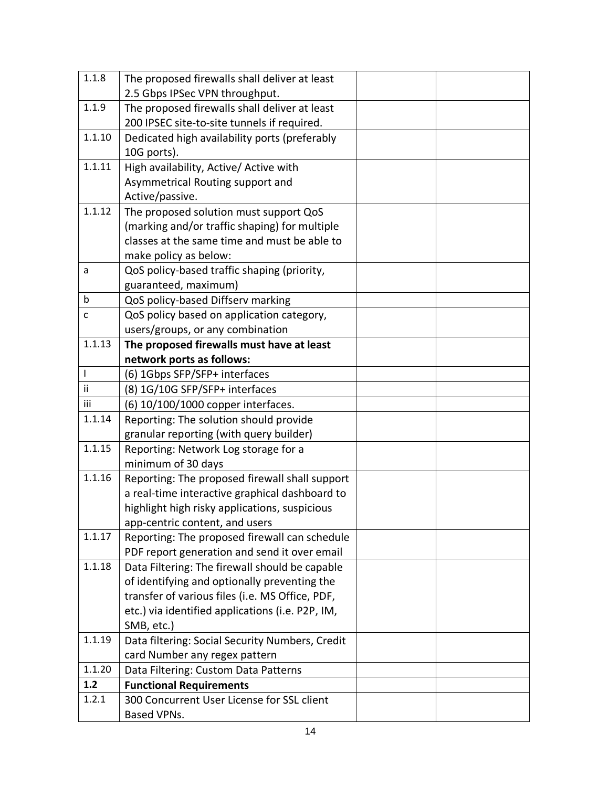| 1.1.8  | The proposed firewalls shall deliver at least    |  |
|--------|--------------------------------------------------|--|
|        | 2.5 Gbps IPSec VPN throughput.                   |  |
| 1.1.9  | The proposed firewalls shall deliver at least    |  |
|        | 200 IPSEC site-to-site tunnels if required.      |  |
| 1.1.10 | Dedicated high availability ports (preferably    |  |
|        | 10G ports).                                      |  |
| 1.1.11 | High availability, Active/ Active with           |  |
|        | Asymmetrical Routing support and                 |  |
|        | Active/passive.                                  |  |
| 1.1.12 | The proposed solution must support QoS           |  |
|        | (marking and/or traffic shaping) for multiple    |  |
|        | classes at the same time and must be able to     |  |
|        | make policy as below:                            |  |
| a      | QoS policy-based traffic shaping (priority,      |  |
|        | guaranteed, maximum)                             |  |
| b      | QoS policy-based Diffserv marking                |  |
| C      | QoS policy based on application category,        |  |
|        | users/groups, or any combination                 |  |
| 1.1.13 | The proposed firewalls must have at least        |  |
|        | network ports as follows:                        |  |
| L      | (6) 1Gbps SFP/SFP+ interfaces                    |  |
| ii.    | (8) 1G/10G SFP/SFP+ interfaces                   |  |
| iii    | (6) 10/100/1000 copper interfaces.               |  |
| 1.1.14 | Reporting: The solution should provide           |  |
|        | granular reporting (with query builder)          |  |
| 1.1.15 | Reporting: Network Log storage for a             |  |
|        | minimum of 30 days                               |  |
| 1.1.16 | Reporting: The proposed firewall shall support   |  |
|        | a real-time interactive graphical dashboard to   |  |
|        | highlight high risky applications, suspicious    |  |
|        | app-centric content, and users                   |  |
| 1.1.17 | Reporting: The proposed firewall can schedule    |  |
|        | PDF report generation and send it over email     |  |
| 1.1.18 | Data Filtering: The firewall should be capable   |  |
|        | of identifying and optionally preventing the     |  |
|        | transfer of various files (i.e. MS Office, PDF,  |  |
|        | etc.) via identified applications (i.e. P2P, IM, |  |
|        | SMB, etc.)                                       |  |
| 1.1.19 | Data filtering: Social Security Numbers, Credit  |  |
|        | card Number any regex pattern                    |  |
| 1.1.20 | Data Filtering: Custom Data Patterns             |  |
| 1.2    | <b>Functional Requirements</b>                   |  |
| 1.2.1  | 300 Concurrent User License for SSL client       |  |
|        | Based VPNs.                                      |  |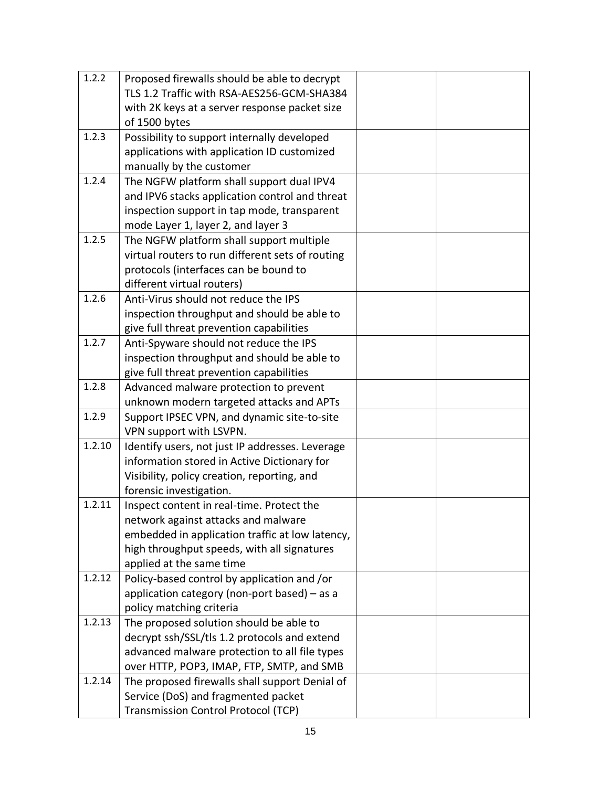| 1.2.2  | Proposed firewalls should be able to decrypt     |  |
|--------|--------------------------------------------------|--|
|        | TLS 1.2 Traffic with RSA-AES256-GCM-SHA384       |  |
|        | with 2K keys at a server response packet size    |  |
|        | of 1500 bytes                                    |  |
| 1.2.3  | Possibility to support internally developed      |  |
|        | applications with application ID customized      |  |
|        | manually by the customer                         |  |
| 1.2.4  | The NGFW platform shall support dual IPV4        |  |
|        | and IPV6 stacks application control and threat   |  |
|        | inspection support in tap mode, transparent      |  |
|        | mode Layer 1, layer 2, and layer 3               |  |
| 1.2.5  | The NGFW platform shall support multiple         |  |
|        | virtual routers to run different sets of routing |  |
|        | protocols (interfaces can be bound to            |  |
|        | different virtual routers)                       |  |
| 1.2.6  | Anti-Virus should not reduce the IPS             |  |
|        | inspection throughput and should be able to      |  |
|        | give full threat prevention capabilities         |  |
| 1.2.7  | Anti-Spyware should not reduce the IPS           |  |
|        | inspection throughput and should be able to      |  |
|        | give full threat prevention capabilities         |  |
| 1.2.8  | Advanced malware protection to prevent           |  |
|        | unknown modern targeted attacks and APTs         |  |
| 1.2.9  | Support IPSEC VPN, and dynamic site-to-site      |  |
|        | VPN support with LSVPN.                          |  |
| 1.2.10 | Identify users, not just IP addresses. Leverage  |  |
|        | information stored in Active Dictionary for      |  |
|        | Visibility, policy creation, reporting, and      |  |
|        | forensic investigation.                          |  |
| 1.2.11 | Inspect content in real-time. Protect the        |  |
|        | network against attacks and malware              |  |
|        | embedded in application traffic at low latency,  |  |
|        | high throughput speeds, with all signatures      |  |
|        | applied at the same time                         |  |
| 1.2.12 | Policy-based control by application and /or      |  |
|        | application category (non-port based) - as a     |  |
|        | policy matching criteria                         |  |
| 1.2.13 | The proposed solution should be able to          |  |
|        | decrypt ssh/SSL/tls 1.2 protocols and extend     |  |
|        | advanced malware protection to all file types    |  |
|        | over HTTP, POP3, IMAP, FTP, SMTP, and SMB        |  |
| 1.2.14 | The proposed firewalls shall support Denial of   |  |
|        | Service (DoS) and fragmented packet              |  |
|        | <b>Transmission Control Protocol (TCP)</b>       |  |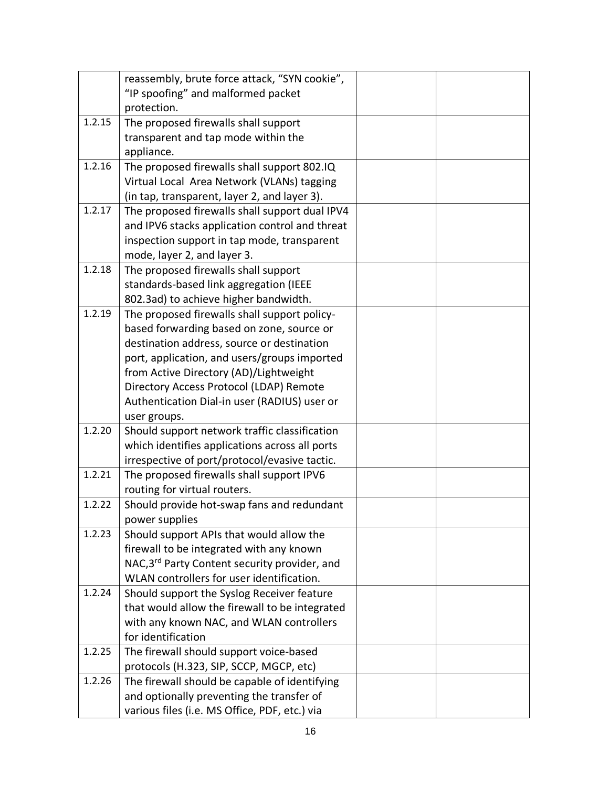|        | reassembly, brute force attack, "SYN cookie",  |  |
|--------|------------------------------------------------|--|
|        | "IP spoofing" and malformed packet             |  |
|        | protection.                                    |  |
| 1.2.15 | The proposed firewalls shall support           |  |
|        | transparent and tap mode within the            |  |
|        | appliance.                                     |  |
| 1.2.16 | The proposed firewalls shall support 802.IQ    |  |
|        | Virtual Local Area Network (VLANs) tagging     |  |
|        | (in tap, transparent, layer 2, and layer 3).   |  |
| 1.2.17 | The proposed firewalls shall support dual IPV4 |  |
|        | and IPV6 stacks application control and threat |  |
|        | inspection support in tap mode, transparent    |  |
|        | mode, layer 2, and layer 3.                    |  |
| 1.2.18 | The proposed firewalls shall support           |  |
|        | standards-based link aggregation (IEEE         |  |
|        | 802.3ad) to achieve higher bandwidth.          |  |
| 1.2.19 | The proposed firewalls shall support policy-   |  |
|        | based forwarding based on zone, source or      |  |
|        | destination address, source or destination     |  |
|        | port, application, and users/groups imported   |  |
|        | from Active Directory (AD)/Lightweight         |  |
|        | Directory Access Protocol (LDAP) Remote        |  |
|        | Authentication Dial-in user (RADIUS) user or   |  |
|        | user groups.                                   |  |
| 1.2.20 | Should support network traffic classification  |  |
|        | which identifies applications across all ports |  |
|        | irrespective of port/protocol/evasive tactic.  |  |
| 1.2.21 | The proposed firewalls shall support IPV6      |  |
|        | routing for virtual routers.                   |  |
| 1.2.22 | Should provide hot-swap fans and redundant     |  |
|        | power supplies                                 |  |
| 1.2.23 | Should support APIs that would allow the       |  |
|        | firewall to be integrated with any known       |  |
|        | NAC, 3rd Party Content security provider, and  |  |
|        | WLAN controllers for user identification.      |  |
| 1.2.24 | Should support the Syslog Receiver feature     |  |
|        | that would allow the firewall to be integrated |  |
|        | with any known NAC, and WLAN controllers       |  |
|        | for identification                             |  |
| 1.2.25 | The firewall should support voice-based        |  |
|        | protocols (H.323, SIP, SCCP, MGCP, etc)        |  |
| 1.2.26 | The firewall should be capable of identifying  |  |
|        | and optionally preventing the transfer of      |  |
|        | various files (i.e. MS Office, PDF, etc.) via  |  |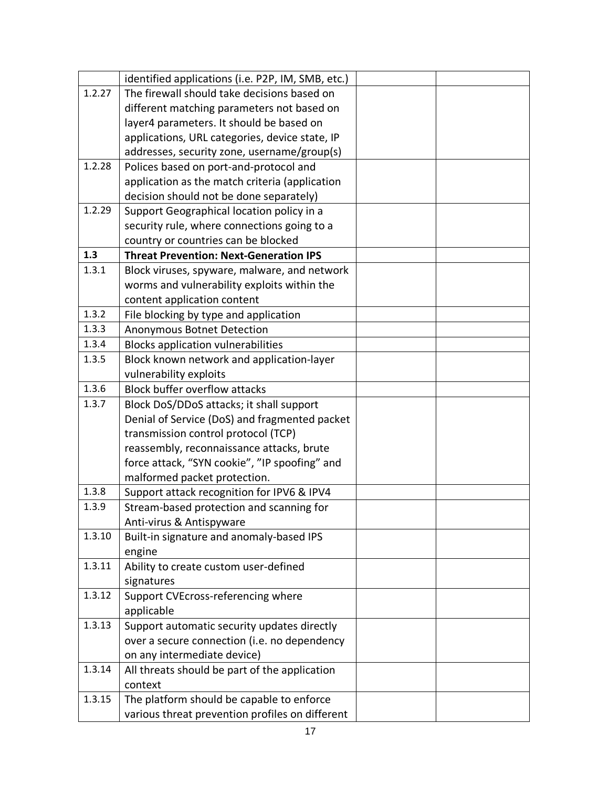|        | identified applications (i.e. P2P, IM, SMB, etc.) |  |
|--------|---------------------------------------------------|--|
| 1.2.27 | The firewall should take decisions based on       |  |
|        | different matching parameters not based on        |  |
|        | layer4 parameters. It should be based on          |  |
|        | applications, URL categories, device state, IP    |  |
|        | addresses, security zone, username/group(s)       |  |
| 1.2.28 | Polices based on port-and-protocol and            |  |
|        | application as the match criteria (application    |  |
|        | decision should not be done separately)           |  |
| 1.2.29 | Support Geographical location policy in a         |  |
|        | security rule, where connections going to a       |  |
|        | country or countries can be blocked               |  |
| 1.3    | <b>Threat Prevention: Next-Generation IPS</b>     |  |
| 1.3.1  | Block viruses, spyware, malware, and network      |  |
|        | worms and vulnerability exploits within the       |  |
|        | content application content                       |  |
| 1.3.2  | File blocking by type and application             |  |
| 1.3.3  | Anonymous Botnet Detection                        |  |
| 1.3.4  | <b>Blocks application vulnerabilities</b>         |  |
| 1.3.5  | Block known network and application-layer         |  |
|        | vulnerability exploits                            |  |
| 1.3.6  | <b>Block buffer overflow attacks</b>              |  |
| 1.3.7  | Block DoS/DDoS attacks; it shall support          |  |
|        | Denial of Service (DoS) and fragmented packet     |  |
|        | transmission control protocol (TCP)               |  |
|        | reassembly, reconnaissance attacks, brute         |  |
|        | force attack, "SYN cookie", "IP spoofing" and     |  |
|        | malformed packet protection.                      |  |
| 1.3.8  | Support attack recognition for IPV6 & IPV4        |  |
| 1.3.9  | Stream-based protection and scanning for          |  |
|        | Anti-virus & Antispyware                          |  |
| 1.3.10 | Built-in signature and anomaly-based IPS          |  |
|        | engine                                            |  |
| 1.3.11 | Ability to create custom user-defined             |  |
|        | signatures                                        |  |
| 1.3.12 | Support CVEcross-referencing where                |  |
|        | applicable                                        |  |
| 1.3.13 | Support automatic security updates directly       |  |
|        | over a secure connection (i.e. no dependency      |  |
|        | on any intermediate device)                       |  |
| 1.3.14 | All threats should be part of the application     |  |
|        | context                                           |  |
| 1.3.15 | The platform should be capable to enforce         |  |
|        | various threat prevention profiles on different   |  |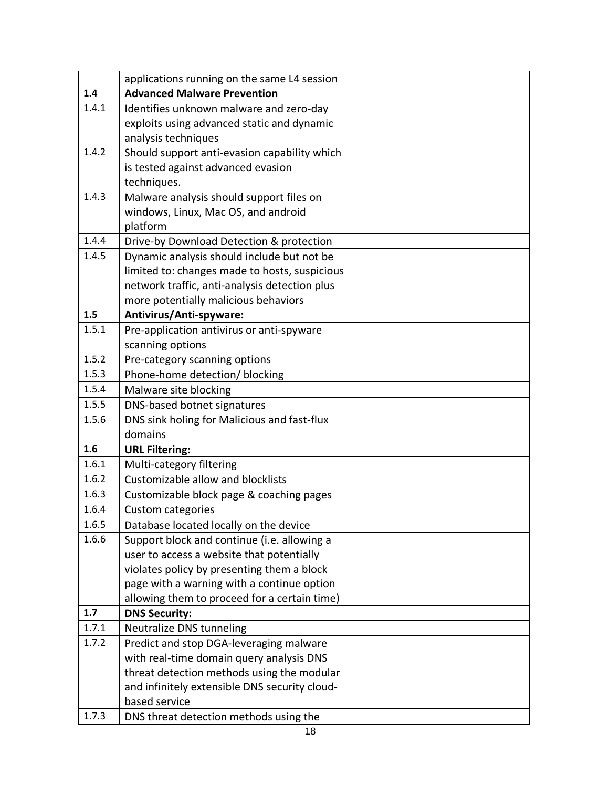|       | applications running on the same L4 session   |  |
|-------|-----------------------------------------------|--|
| 1.4   | <b>Advanced Malware Prevention</b>            |  |
| 1.4.1 | Identifies unknown malware and zero-day       |  |
|       | exploits using advanced static and dynamic    |  |
|       | analysis techniques                           |  |
| 1.4.2 | Should support anti-evasion capability which  |  |
|       | is tested against advanced evasion            |  |
|       | techniques.                                   |  |
| 1.4.3 | Malware analysis should support files on      |  |
|       | windows, Linux, Mac OS, and android           |  |
|       | platform                                      |  |
| 1.4.4 | Drive-by Download Detection & protection      |  |
| 1.4.5 | Dynamic analysis should include but not be    |  |
|       | limited to: changes made to hosts, suspicious |  |
|       | network traffic, anti-analysis detection plus |  |
|       | more potentially malicious behaviors          |  |
| 1.5   | Antivirus/Anti-spyware:                       |  |
| 1.5.1 | Pre-application antivirus or anti-spyware     |  |
|       | scanning options                              |  |
| 1.5.2 | Pre-category scanning options                 |  |
| 1.5.3 | Phone-home detection/ blocking                |  |
| 1.5.4 | Malware site blocking                         |  |
| 1.5.5 | DNS-based botnet signatures                   |  |
| 1.5.6 | DNS sink holing for Malicious and fast-flux   |  |
|       | domains                                       |  |
| 1.6   | <b>URL Filtering:</b>                         |  |
| 1.6.1 | Multi-category filtering                      |  |
| 1.6.2 | Customizable allow and blocklists             |  |
| 1.6.3 | Customizable block page & coaching pages      |  |
| 1.6.4 | <b>Custom categories</b>                      |  |
| 1.6.5 | Database located locally on the device        |  |
| 1.6.6 | Support block and continue (i.e. allowing a   |  |
|       | user to access a website that potentially     |  |
|       | violates policy by presenting them a block    |  |
|       | page with a warning with a continue option    |  |
|       | allowing them to proceed for a certain time)  |  |
| 1.7   | <b>DNS Security:</b>                          |  |
| 1.7.1 | Neutralize DNS tunneling                      |  |
| 1.7.2 | Predict and stop DGA-leveraging malware       |  |
|       | with real-time domain query analysis DNS      |  |
|       | threat detection methods using the modular    |  |
|       | and infinitely extensible DNS security cloud- |  |
|       | based service                                 |  |
| 1.7.3 | DNS threat detection methods using the        |  |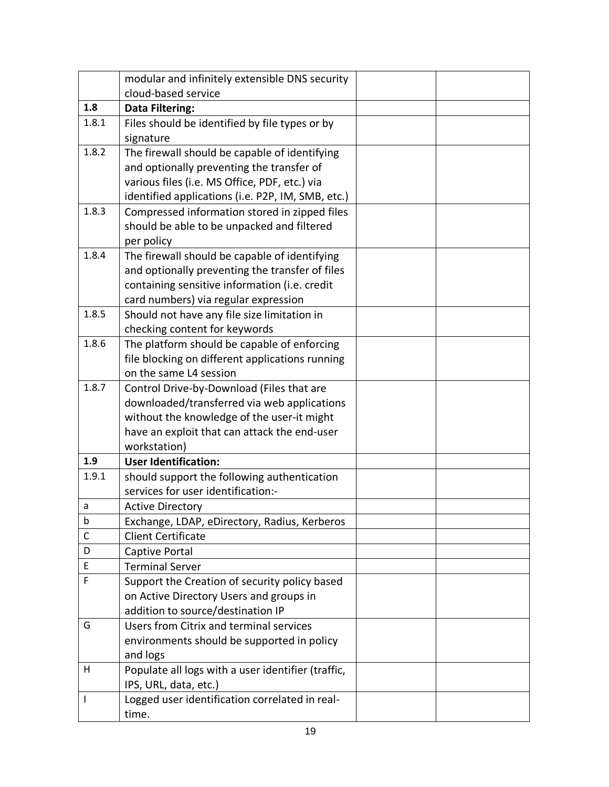|              | modular and infinitely extensible DNS security     |  |
|--------------|----------------------------------------------------|--|
|              | cloud-based service                                |  |
| 1.8          | <b>Data Filtering:</b>                             |  |
| 1.8.1        | Files should be identified by file types or by     |  |
|              | signature                                          |  |
| 1.8.2        | The firewall should be capable of identifying      |  |
|              | and optionally preventing the transfer of          |  |
|              | various files (i.e. MS Office, PDF, etc.) via      |  |
|              | identified applications (i.e. P2P, IM, SMB, etc.)  |  |
| 1.8.3        | Compressed information stored in zipped files      |  |
|              | should be able to be unpacked and filtered         |  |
|              | per policy                                         |  |
| 1.8.4        | The firewall should be capable of identifying      |  |
|              | and optionally preventing the transfer of files    |  |
|              | containing sensitive information (i.e. credit      |  |
|              | card numbers) via regular expression               |  |
| 1.8.5        | Should not have any file size limitation in        |  |
|              | checking content for keywords                      |  |
| 1.8.6        | The platform should be capable of enforcing        |  |
|              | file blocking on different applications running    |  |
|              | on the same L4 session                             |  |
| 1.8.7        | Control Drive-by-Download (Files that are          |  |
|              | downloaded/transferred via web applications        |  |
|              | without the knowledge of the user-it might         |  |
|              | have an exploit that can attack the end-user       |  |
|              | workstation)                                       |  |
| 1.9          | <b>User Identification:</b>                        |  |
| 1.9.1        | should support the following authentication        |  |
|              | services for user identification:-                 |  |
| a            | <b>Active Directory</b>                            |  |
| b            | Exchange, LDAP, eDirectory, Radius, Kerberos       |  |
| $\mathsf{C}$ | <b>Client Certificate</b>                          |  |
| D            | Captive Portal                                     |  |
| E            | <b>Terminal Server</b>                             |  |
| F            | Support the Creation of security policy based      |  |
|              | on Active Directory Users and groups in            |  |
|              | addition to source/destination IP                  |  |
| G            | Users from Citrix and terminal services            |  |
|              | environments should be supported in policy         |  |
|              | and logs                                           |  |
| н            | Populate all logs with a user identifier (traffic, |  |
|              | IPS, URL, data, etc.)                              |  |
| I            | Logged user identification correlated in real-     |  |
|              | time.                                              |  |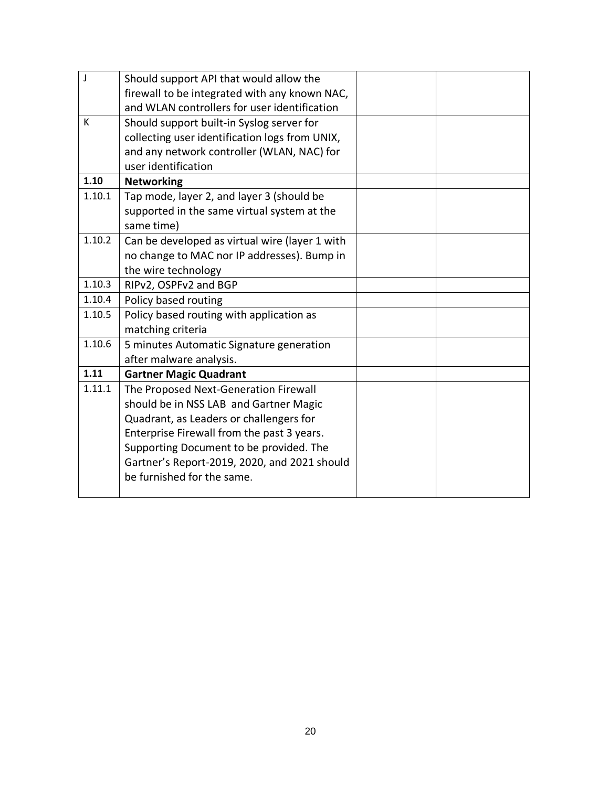| J      | Should support API that would allow the        |  |
|--------|------------------------------------------------|--|
|        | firewall to be integrated with any known NAC,  |  |
|        | and WLAN controllers for user identification   |  |
| K      | Should support built-in Syslog server for      |  |
|        | collecting user identification logs from UNIX, |  |
|        | and any network controller (WLAN, NAC) for     |  |
|        | user identification                            |  |
| 1.10   | <b>Networking</b>                              |  |
| 1.10.1 | Tap mode, layer 2, and layer 3 (should be      |  |
|        | supported in the same virtual system at the    |  |
|        | same time)                                     |  |
| 1.10.2 | Can be developed as virtual wire (layer 1 with |  |
|        | no change to MAC nor IP addresses). Bump in    |  |
|        | the wire technology                            |  |
| 1.10.3 | RIPv2, OSPFv2 and BGP                          |  |
| 1.10.4 | Policy based routing                           |  |
| 1.10.5 | Policy based routing with application as       |  |
|        | matching criteria                              |  |
| 1.10.6 | 5 minutes Automatic Signature generation       |  |
|        | after malware analysis.                        |  |
| 1.11   | <b>Gartner Magic Quadrant</b>                  |  |
| 1.11.1 | The Proposed Next-Generation Firewall          |  |
|        | should be in NSS LAB and Gartner Magic         |  |
|        | Quadrant, as Leaders or challengers for        |  |
|        | Enterprise Firewall from the past 3 years.     |  |
|        | Supporting Document to be provided. The        |  |
|        | Gartner's Report-2019, 2020, and 2021 should   |  |
|        | be furnished for the same.                     |  |
|        |                                                |  |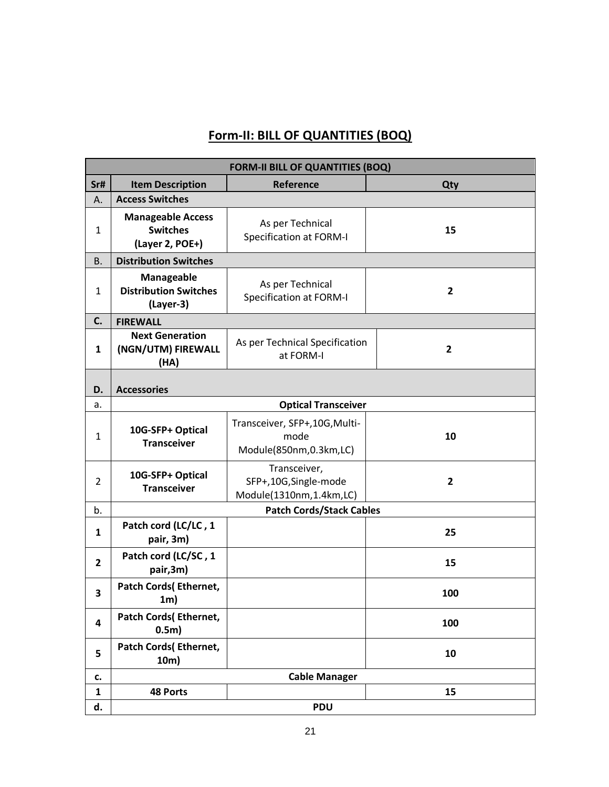### **Form-II: BILL OF QUANTITIES (BOQ)**

<span id="page-21-0"></span>

|                | <b>FORM-II BILL OF QUANTITIES (BOQ)</b>                        |                                                                  |                |  |  |  |
|----------------|----------------------------------------------------------------|------------------------------------------------------------------|----------------|--|--|--|
| Sr#            | <b>Item Description</b>                                        | Reference                                                        | Qty            |  |  |  |
| А.             | <b>Access Switches</b>                                         |                                                                  |                |  |  |  |
| $\mathbf{1}$   | <b>Manageable Access</b><br><b>Switches</b><br>(Layer 2, POE+) | As per Technical<br>Specification at FORM-I                      | 15             |  |  |  |
| <b>B.</b>      | <b>Distribution Switches</b>                                   |                                                                  |                |  |  |  |
| 1              | Manageable<br><b>Distribution Switches</b><br>(Layer-3)        | As per Technical<br><b>Specification at FORM-I</b>               | $\overline{2}$ |  |  |  |
| C.             | <b>FIREWALL</b>                                                |                                                                  |                |  |  |  |
| $\mathbf{1}$   | <b>Next Generation</b><br>(NGN/UTM) FIREWALL<br>(HA)           | As per Technical Specification<br>at FORM-I                      | $\overline{2}$ |  |  |  |
| D.             | <b>Accessories</b>                                             |                                                                  |                |  |  |  |
| a.             |                                                                | <b>Optical Transceiver</b>                                       |                |  |  |  |
| $\mathbf{1}$   | 10G-SFP+ Optical<br><b>Transceiver</b>                         | Transceiver, SFP+, 10G, Multi-<br>mode<br>Module(850nm,0.3km,LC) | 10             |  |  |  |
| $\overline{2}$ | 10G-SFP+ Optical<br><b>Transceiver</b>                         | Transceiver,<br>SFP+,10G,Single-mode<br>Module(1310nm,1.4km,LC)  | $\overline{2}$ |  |  |  |
| b.             |                                                                | <b>Patch Cords/Stack Cables</b>                                  |                |  |  |  |
| $\mathbf{1}$   | Patch cord (LC/LC, 1<br>pair, 3m)                              |                                                                  | 25             |  |  |  |
| $\mathbf{2}$   | Patch cord (LC/SC, 1<br>pair,3m)                               |                                                                  | 15             |  |  |  |
| 3              | Patch Cords(Ethernet,<br>1m)                                   |                                                                  | 100            |  |  |  |
| 4              | <b>Patch Cords(Ethernet,</b><br>0.5 <sub>m</sub>               |                                                                  | 100            |  |  |  |
| 5              | <b>Patch Cords(Ethernet,</b><br>10m)                           |                                                                  | 10             |  |  |  |
| c.             |                                                                | <b>Cable Manager</b>                                             |                |  |  |  |
| $\mathbf{1}$   | <b>48 Ports</b>                                                |                                                                  | 15             |  |  |  |
| d.             |                                                                | <b>PDU</b>                                                       |                |  |  |  |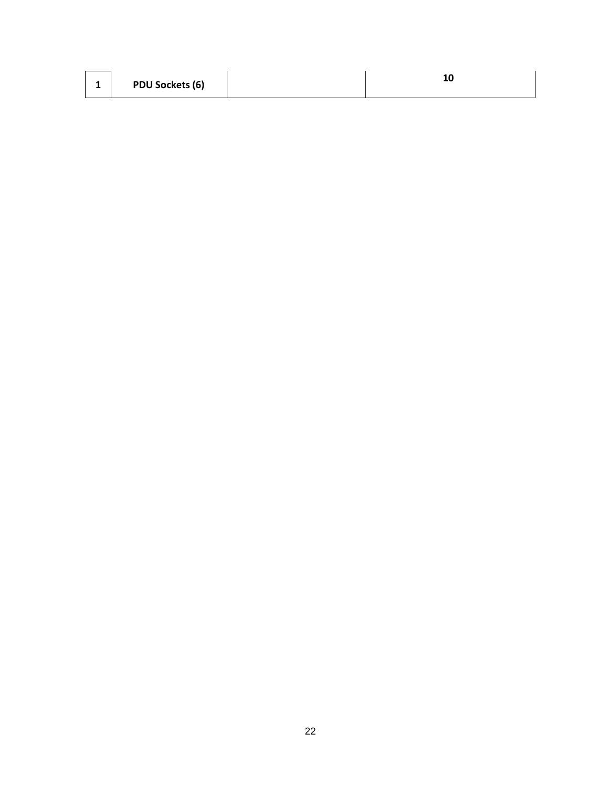|  | <b>PDU Sockets (6)</b> |  |  |
|--|------------------------|--|--|
|--|------------------------|--|--|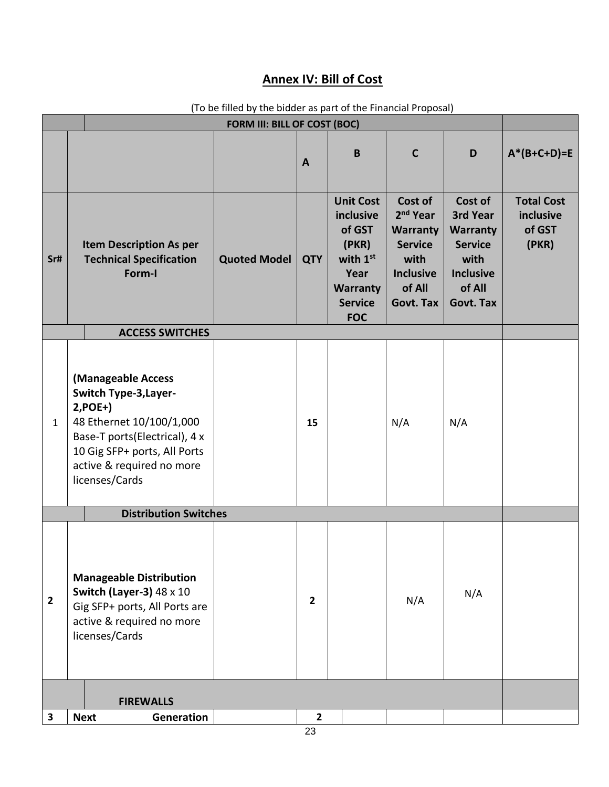### **Annex IV: Bill of Cost**

<span id="page-23-0"></span>

| FORM III: BILL OF COST (BOC) |                                                                                                                                                                                                             |                     |              |                                                                                                                  |                                                                                                                                |                                                                                                                    |                                                   |
|------------------------------|-------------------------------------------------------------------------------------------------------------------------------------------------------------------------------------------------------------|---------------------|--------------|------------------------------------------------------------------------------------------------------------------|--------------------------------------------------------------------------------------------------------------------------------|--------------------------------------------------------------------------------------------------------------------|---------------------------------------------------|
|                              |                                                                                                                                                                                                             |                     | A            | B                                                                                                                | $\mathbf C$                                                                                                                    | D                                                                                                                  | $A*(B+C+D)=E$                                     |
| Sr#                          | <b>Item Description As per</b><br><b>Technical Specification</b><br>Form-I                                                                                                                                  | <b>Quoted Model</b> | <b>QTY</b>   | <b>Unit Cost</b><br>inclusive<br>of GST<br>(PKR)<br>with 1st<br>Year<br>Warranty<br><b>Service</b><br><b>FOC</b> | Cost of<br>2 <sup>nd</sup> Year<br><b>Warranty</b><br><b>Service</b><br>with<br><b>Inclusive</b><br>of All<br><b>Govt. Tax</b> | Cost of<br>3rd Year<br><b>Warranty</b><br><b>Service</b><br>with<br><b>Inclusive</b><br>of All<br><b>Govt. Tax</b> | <b>Total Cost</b><br>inclusive<br>of GST<br>(PKR) |
|                              | <b>ACCESS SWITCHES</b>                                                                                                                                                                                      |                     |              |                                                                                                                  |                                                                                                                                |                                                                                                                    |                                                   |
| $\mathbf{1}$                 | (Manageable Access<br><b>Switch Type-3, Layer-</b><br>$2, POE+$<br>48 Ethernet 10/100/1,000<br>Base-T ports(Electrical), 4 x<br>10 Gig SFP+ ports, All Ports<br>active & required no more<br>licenses/Cards |                     | 15           |                                                                                                                  | N/A                                                                                                                            | N/A                                                                                                                |                                                   |
| <b>Distribution Switches</b> |                                                                                                                                                                                                             |                     |              |                                                                                                                  |                                                                                                                                |                                                                                                                    |                                                   |
| $\overline{2}$               | <b>Manageable Distribution</b><br>Switch (Layer-3) $48 \times 10$<br>Gig SFP+ ports, All Ports are<br>active & required no more<br>licenses/Cards                                                           |                     | $\mathbf{2}$ |                                                                                                                  | N/A                                                                                                                            | N/A                                                                                                                |                                                   |
|                              | <b>FIREWALLS</b>                                                                                                                                                                                            |                     |              |                                                                                                                  |                                                                                                                                |                                                                                                                    |                                                   |
| 3                            | <b>Next</b><br><b>Generation</b>                                                                                                                                                                            |                     | $\mathbf{2}$ |                                                                                                                  |                                                                                                                                |                                                                                                                    |                                                   |

(To be filled by the bidder as part of the Financial Proposal)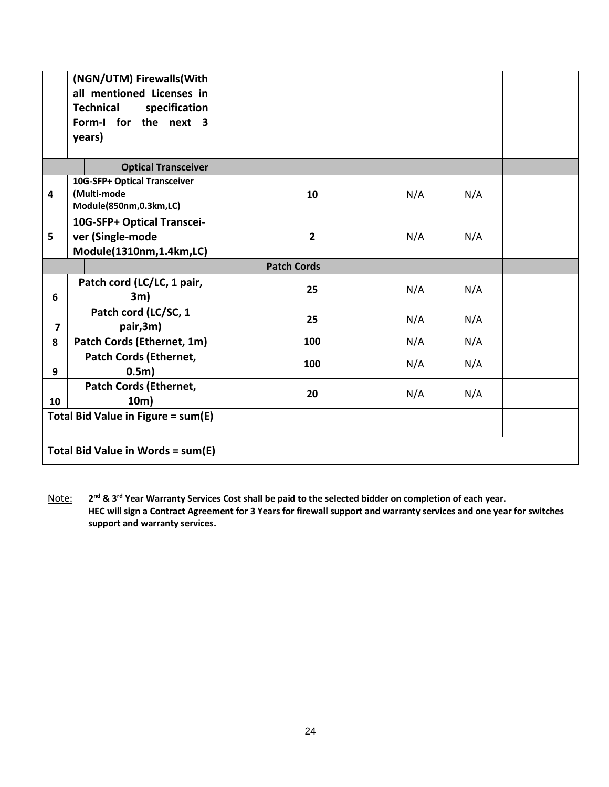|                                    | (NGN/UTM) Firewalls(With<br>all mentioned Licenses in<br><b>Technical</b><br>specification<br>Form-I for the next 3<br>years) |                    |  |  |     |     |  |
|------------------------------------|-------------------------------------------------------------------------------------------------------------------------------|--------------------|--|--|-----|-----|--|
|                                    | <b>Optical Transceiver</b>                                                                                                    |                    |  |  |     |     |  |
| $\overline{4}$                     | 10G-SFP+ Optical Transceiver<br>(Multi-mode<br>Module(850nm,0.3km,LC)                                                         | 10                 |  |  | N/A | N/A |  |
| 5                                  | 10G-SFP+ Optical Transcei-<br>ver (Single-mode<br>Module(1310nm,1.4km,LC)                                                     | $\overline{2}$     |  |  | N/A | N/A |  |
|                                    |                                                                                                                               | <b>Patch Cords</b> |  |  |     |     |  |
| 6                                  | Patch cord (LC/LC, 1 pair,<br>3m)                                                                                             | 25                 |  |  | N/A | N/A |  |
| $\overline{7}$                     | Patch cord (LC/SC, 1<br>pair,3m)                                                                                              | 25                 |  |  | N/A | N/A |  |
| 8                                  | Patch Cords (Ethernet, 1m)                                                                                                    | 100                |  |  | N/A | N/A |  |
| 9                                  | <b>Patch Cords (Ethernet,</b><br>0.5 <sub>m</sub>                                                                             | 100                |  |  | N/A | N/A |  |
| 10                                 | <b>Patch Cords (Ethernet,</b><br>10m)                                                                                         | 20                 |  |  | N/A | N/A |  |
| Total Bid Value in Figure = sum(E) |                                                                                                                               |                    |  |  |     |     |  |
|                                    | Total Bid Value in Words = sum(E)                                                                                             |                    |  |  |     |     |  |

<span id="page-24-1"></span><span id="page-24-0"></span>Note: **2 nd & 3rd Year Warranty Services Cost shall be paid to the selected bidder on completion of each year. HEC will sign a Contract Agreement for 3 Years for firewall support and warranty services and one year for switches support and warranty services.**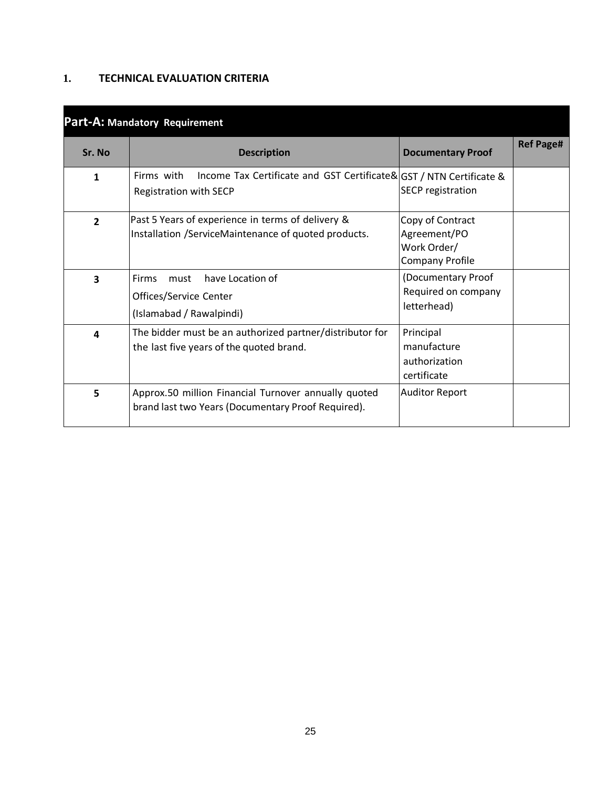### <span id="page-25-0"></span>**1. TECHNICAL EVALUATION CRITERIA**

|                | <i>u individually individually</i>                                                                          |                                                                           |                  |  |  |  |  |
|----------------|-------------------------------------------------------------------------------------------------------------|---------------------------------------------------------------------------|------------------|--|--|--|--|
| Sr. No         | <b>Description</b>                                                                                          | <b>Documentary Proof</b>                                                  | <b>Ref Page#</b> |  |  |  |  |
| 1              | Firms with<br>Income Tax Certificate and GST Certificate& GST / NTN Certificate &<br>Registration with SECP | <b>SECP</b> registration                                                  |                  |  |  |  |  |
| $\overline{2}$ | Past 5 Years of experience in terms of delivery &<br>Installation /ServiceMaintenance of quoted products.   | Copy of Contract<br>Agreement/PO<br>Work Order/<br><b>Company Profile</b> |                  |  |  |  |  |
| 3              | have Location of<br><b>Firms</b><br>must<br>Offices/Service Center<br>(Islamabad / Rawalpindi)              | (Documentary Proof<br>Required on company<br>letterhead)                  |                  |  |  |  |  |
| 4              | The bidder must be an authorized partner/distributor for<br>the last five years of the quoted brand.        | Principal<br>manufacture<br>authorization<br>certificate                  |                  |  |  |  |  |
| 5              | Approx.50 million Financial Turnover annually quoted<br>brand last two Years (Documentary Proof Required).  | <b>Auditor Report</b>                                                     |                  |  |  |  |  |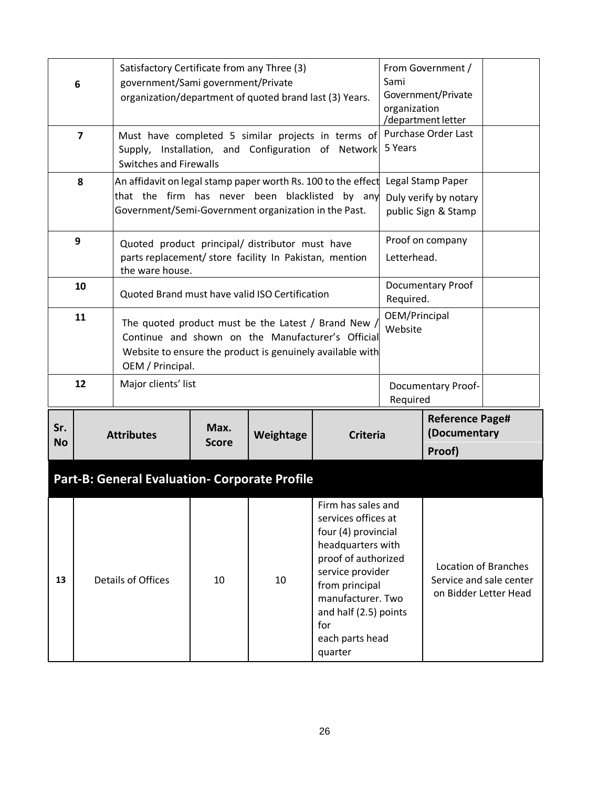|                  | 6                       | Satisfactory Certificate from any Three (3)<br>government/Sami government/Private<br>organization/department of quoted brand last (3) Years.                                              |                      |           |                                                                                                                                                                                                                                                                                                                          |             | From Government /<br>Government/Private<br>organization<br>/department letter |  |
|------------------|-------------------------|-------------------------------------------------------------------------------------------------------------------------------------------------------------------------------------------|----------------------|-----------|--------------------------------------------------------------------------------------------------------------------------------------------------------------------------------------------------------------------------------------------------------------------------------------------------------------------------|-------------|-------------------------------------------------------------------------------|--|
|                  | $\overline{\mathbf{z}}$ | Must have completed 5 similar projects in terms of<br>Supply, Installation, and Configuration of Network<br><b>Switches and Firewalls</b>                                                 |                      | 5 Years   | Purchase Order Last                                                                                                                                                                                                                                                                                                      |             |                                                                               |  |
|                  | 8                       | An affidavit on legal stamp paper worth Rs. 100 to the effect<br>that the firm has never been blacklisted by any<br>Government/Semi-Government organization in the Past.                  |                      |           |                                                                                                                                                                                                                                                                                                                          |             | Legal Stamp Paper<br>Duly verify by notary<br>public Sign & Stamp             |  |
|                  | 9                       | Quoted product principal/ distributor must have<br>parts replacement/ store facility In Pakistan, mention<br>the ware house.                                                              |                      |           |                                                                                                                                                                                                                                                                                                                          | Letterhead. | Proof on company                                                              |  |
|                  | 10                      | Quoted Brand must have valid ISO Certification                                                                                                                                            |                      |           |                                                                                                                                                                                                                                                                                                                          | Required.   | Documentary Proof                                                             |  |
|                  | 11                      | The quoted product must be the Latest / Brand New /<br>Continue and shown on the Manufacturer's Official<br>Website to ensure the product is genuinely available with<br>OEM / Principal. |                      |           |                                                                                                                                                                                                                                                                                                                          |             | OEM/Principal<br>Website                                                      |  |
|                  | 12                      | Major clients' list                                                                                                                                                                       |                      |           |                                                                                                                                                                                                                                                                                                                          | Required    | <b>Documentary Proof-</b>                                                     |  |
| Sr.<br><b>No</b> |                         | <b>Attributes</b>                                                                                                                                                                         | Max.<br><b>Score</b> | Weightage | <b>Criteria</b>                                                                                                                                                                                                                                                                                                          |             | <b>Reference Page#</b><br>(Documentary<br>Proof)                              |  |
|                  |                         | Part-B: General Evaluation- Corporate Profile                                                                                                                                             |                      |           |                                                                                                                                                                                                                                                                                                                          |             |                                                                               |  |
| 13               |                         | Details of Offices                                                                                                                                                                        | 10                   | 10        | Firm has sales and<br>services offices at<br>four (4) provincial<br>headquarters with<br>proof of authorized<br><b>Location of Branches</b><br>service provider<br>Service and sale center<br>from principal<br>on Bidder Letter Head<br>manufacturer. Two<br>and half (2.5) points<br>for<br>each parts head<br>quarter |             |                                                                               |  |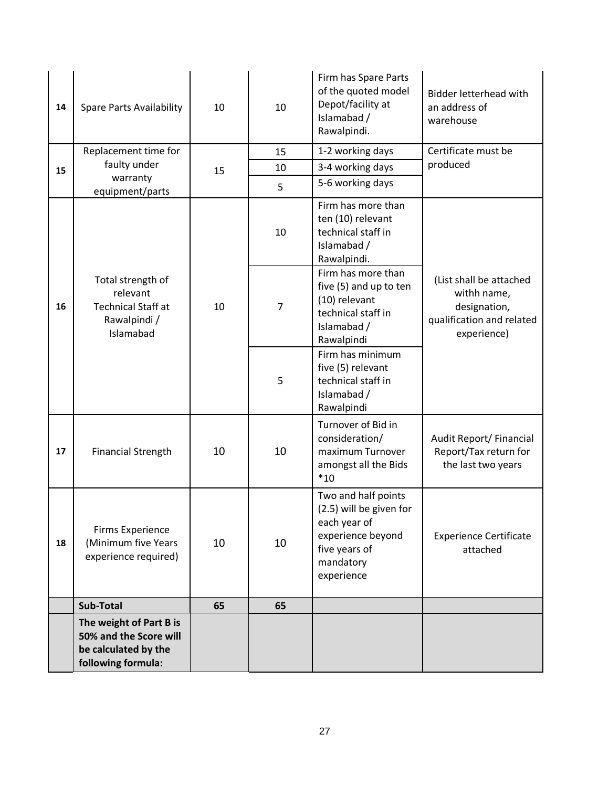| 14 | <b>Spare Parts Availability</b>                                                                 | 10 | 10             | Firm has Spare Parts<br>of the quoted model<br>Depot/facility at<br>Islamabad /<br>Rawalpindi.                                  | <b>Bidder letterhead with</b><br>an address of<br>warehouse                                        |
|----|-------------------------------------------------------------------------------------------------|----|----------------|---------------------------------------------------------------------------------------------------------------------------------|----------------------------------------------------------------------------------------------------|
|    | Replacement time for                                                                            |    | 15             | 1-2 working days                                                                                                                | Certificate must be                                                                                |
| 15 | faulty under<br>warranty                                                                        | 15 | 10             | 3-4 working days                                                                                                                | produced                                                                                           |
|    | equipment/parts                                                                                 |    | 5              | 5-6 working days                                                                                                                |                                                                                                    |
|    |                                                                                                 |    | 10             | Firm has more than<br>ten (10) relevant<br>technical staff in<br>Islamabad /<br>Rawalpindi.                                     |                                                                                                    |
| 16 | Total strength of<br>relevant<br><b>Technical Staff at</b><br>Rawalpindi /<br>Islamabad         | 10 | $\overline{7}$ | Firm has more than<br>five (5) and up to ten<br>(10) relevant<br>technical staff in<br>Islamabad /<br>Rawalpindi                | (List shall be attached<br>withh name,<br>designation,<br>qualification and related<br>experience) |
|    |                                                                                                 |    | 5              | Firm has minimum<br>five (5) relevant<br>technical staff in<br>Islamabad /<br>Rawalpindi                                        |                                                                                                    |
| 17 | <b>Financial Strength</b>                                                                       | 10 | 10             | Turnover of Bid in<br>consideration/<br>maximum Turnover<br>amongst all the Bids<br>$*10$                                       | Audit Report/ Financial<br>Report/Tax return for<br>the last two years                             |
| 18 | <b>Firms Experience</b><br>(Minimum five Years<br>experience required)                          | 10 | 10             | Two and half points<br>(2.5) will be given for<br>each year of<br>experience beyond<br>five years of<br>mandatory<br>experience | <b>Experience Certificate</b><br>attached                                                          |
|    | <b>Sub-Total</b>                                                                                | 65 | 65             |                                                                                                                                 |                                                                                                    |
|    | The weight of Part B is<br>50% and the Score will<br>be calculated by the<br>following formula: |    |                |                                                                                                                                 |                                                                                                    |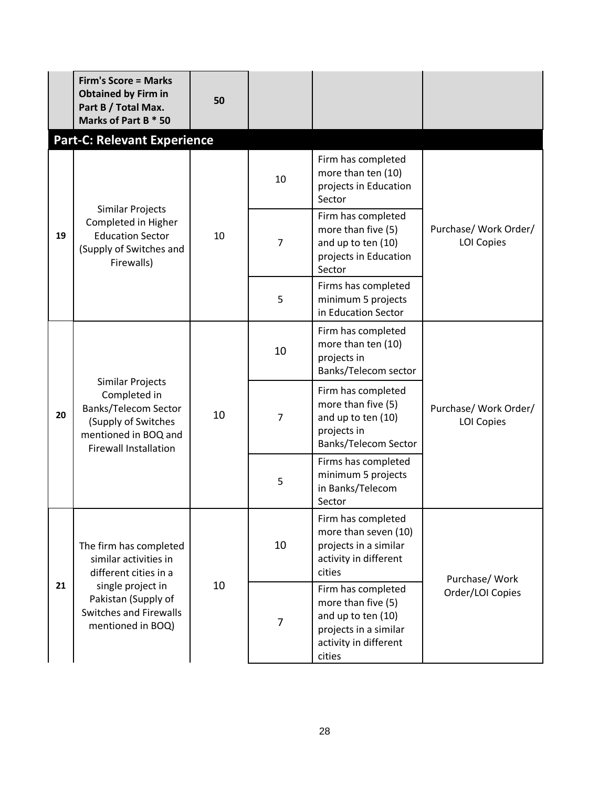|                                                                                        | <b>Firm's Score = Marks</b><br><b>Obtained by Firm in</b><br>Part B / Total Max.<br>Marks of Part B * 50                   | 50                     |                |                                                                                                                            |                                            |
|----------------------------------------------------------------------------------------|----------------------------------------------------------------------------------------------------------------------------|------------------------|----------------|----------------------------------------------------------------------------------------------------------------------------|--------------------------------------------|
|                                                                                        | <b>Part-C: Relevant Experience</b>                                                                                         |                        |                |                                                                                                                            |                                            |
| Similar Projects<br>Completed in Higher<br><b>Education Sector</b><br>19<br>Firewalls) |                                                                                                                            | 10                     | 10             | Firm has completed<br>more than ten (10)<br>projects in Education<br>Sector                                                |                                            |
|                                                                                        | (Supply of Switches and                                                                                                    |                        | $\overline{7}$ | Firm has completed<br>more than five (5)<br>and up to ten (10)<br>projects in Education<br>Sector                          | Purchase/ Work Order/<br><b>LOI Copies</b> |
|                                                                                        |                                                                                                                            |                        | 5              | Firms has completed<br>minimum 5 projects<br>in Education Sector                                                           |                                            |
| 20                                                                                     |                                                                                                                            | Similar Projects<br>10 | 10             | Firm has completed<br>more than ten (10)<br>projects in<br>Banks/Telecom sector                                            |                                            |
|                                                                                        | Completed in<br><b>Banks/Telecom Sector</b><br>(Supply of Switches<br>mentioned in BOQ and<br><b>Firewall Installation</b> |                        | $\overline{7}$ | Firm has completed<br>more than five (5)<br>and up to ten (10)<br>projects in<br>Banks/Telecom Sector                      | Purchase/ Work Order/<br><b>LOI Copies</b> |
|                                                                                        |                                                                                                                            |                        | 5              | Firms has completed<br>minimum 5 projects<br>in Banks/Telecom<br>Sector                                                    |                                            |
|                                                                                        | The firm has completed<br>similar activities in<br>different cities in a                                                   |                        | 10             | Firm has completed<br>more than seven (10)<br>projects in a similar<br>activity in different<br>cities                     | Purchase/ Work                             |
| 21                                                                                     | single project in<br>Pakistan (Supply of<br>Switches and Firewalls<br>mentioned in BOQ)                                    | 10                     | $\overline{7}$ | Firm has completed<br>more than five (5)<br>and up to ten (10)<br>projects in a similar<br>activity in different<br>cities | Order/LOI Copies                           |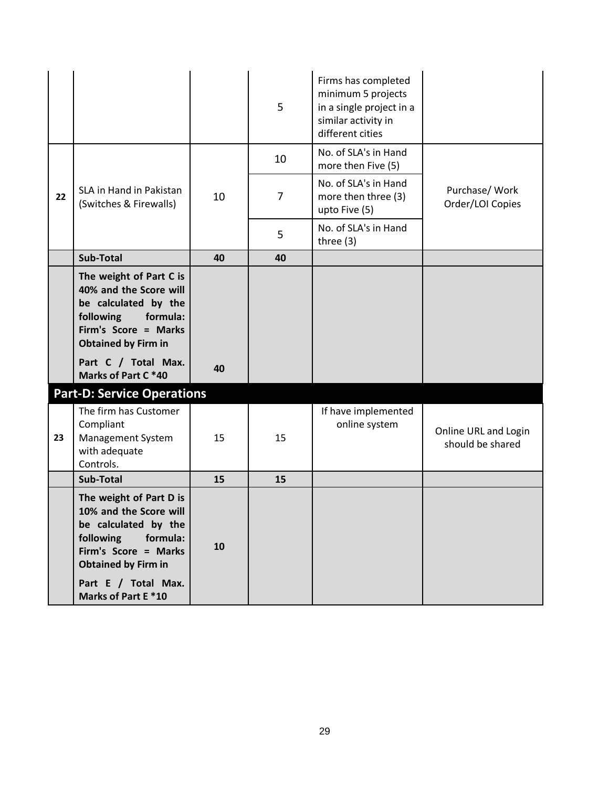|    |                                                                                                                                                                                                     |    | 5  | Firms has completed<br>minimum 5 projects<br>in a single project in a<br>similar activity in<br>different cities |                                          |
|----|-----------------------------------------------------------------------------------------------------------------------------------------------------------------------------------------------------|----|----|------------------------------------------------------------------------------------------------------------------|------------------------------------------|
|    |                                                                                                                                                                                                     |    | 10 | No. of SLA's in Hand<br>more then Five (5)                                                                       |                                          |
| 22 | SLA in Hand in Pakistan<br>(Switches & Firewalls)                                                                                                                                                   | 10 | 7  | No. of SLA's in Hand<br>more then three (3)<br>upto Five (5)                                                     | Purchase/ Work<br>Order/LOI Copies       |
|    |                                                                                                                                                                                                     |    | 5  | No. of SLA's in Hand<br>three $(3)$                                                                              |                                          |
|    | <b>Sub-Total</b>                                                                                                                                                                                    | 40 | 40 |                                                                                                                  |                                          |
|    | The weight of Part C is<br>40% and the Score will<br>be calculated by the<br>following<br>formula:<br>Firm's Score = Marks<br><b>Obtained by Firm in</b>                                            |    |    |                                                                                                                  |                                          |
|    | Part C / Total Max.<br>Marks of Part C *40                                                                                                                                                          | 40 |    |                                                                                                                  |                                          |
|    | <b>Part-D: Service Operations</b>                                                                                                                                                                   |    |    |                                                                                                                  |                                          |
| 23 | The firm has Customer<br>Compliant<br>Management System<br>with adequate<br>Controls.                                                                                                               | 15 | 15 | If have implemented<br>online system                                                                             | Online URL and Login<br>should be shared |
|    | Sub-Total                                                                                                                                                                                           | 15 | 15 |                                                                                                                  |                                          |
|    | The weight of Part D is<br>10% and the Score will<br>be calculated by the<br>following formula:<br>Firm's Score = Marks<br><b>Obtained by Firm in</b><br>Part E / Total Max.<br>Marks of Part E *10 | 10 |    |                                                                                                                  |                                          |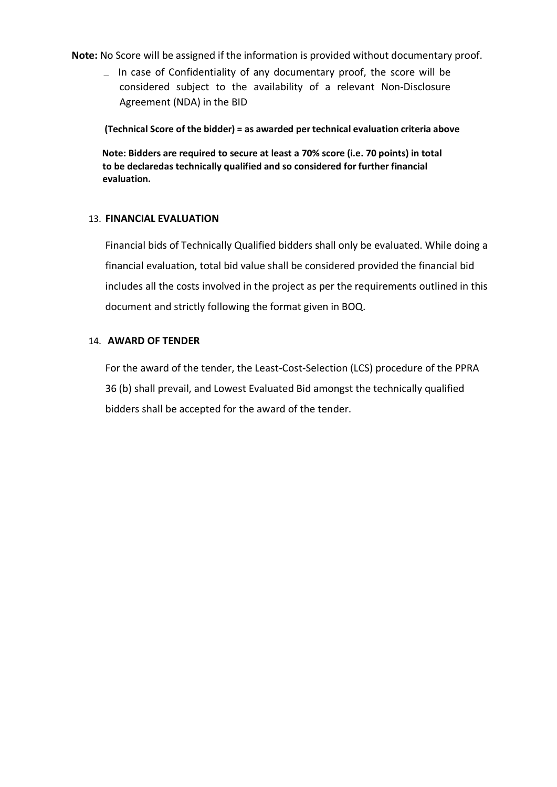**Note:** No Score will be assigned if the information is provided without documentary proof.

 $\Box$  In case of Confidentiality of any documentary proof, the score will be considered subject to the availability of a relevant Non-Disclosure Agreement (NDA) in the BID

**(Technical Score of the bidder) = as awarded per technical evaluation criteria above**

<span id="page-30-0"></span>**Note: Bidders are required to secure at least a 70% score (i.e. 70 points) in total to be declaredas technically qualified and so considered for further financial evaluation.**

#### 13. **FINANCIAL EVALUATION**

<span id="page-30-1"></span>Financial bids of Technically Qualified bidders shall only be evaluated. While doing a financial evaluation, total bid value shall be considered provided the financial bid includes all the costs involved in the project as per the requirements outlined in this document and strictly following the format given in BOQ.

#### 14. **AWARD OF TENDER**

For the award of the tender, the Least-Cost-Selection (LCS) procedure of the PPRA 36 (b) shall prevail, and Lowest Evaluated Bid amongst the technically qualified bidders shall be accepted for the award of the tender.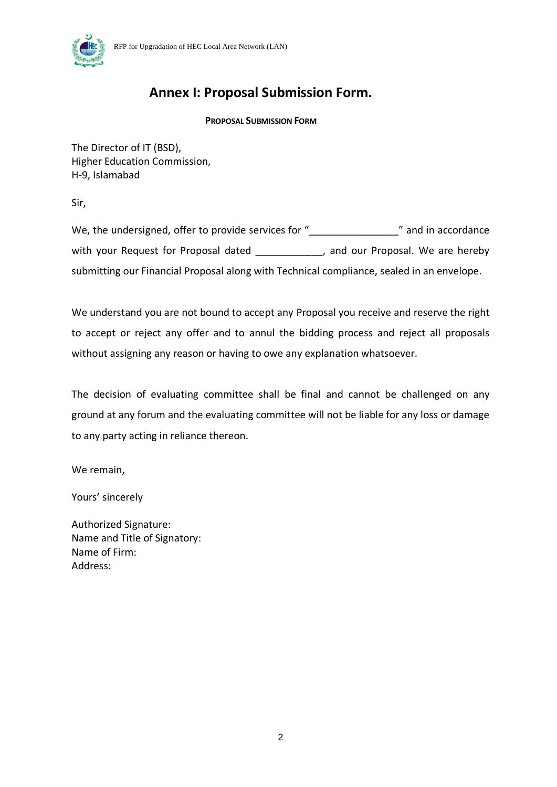



### **Annex I: Proposal Submission Form.**

#### **PROPOSAL SUBMISSION FORM**

The Director of IT (BSD), Higher Education Commission, H-9, Islamabad

Sir,

We, the undersigned, offer to provide services for " \_\_\_\_\_\_\_\_\_\_\_\_\_\_\_\_\_\_\_\_\_\_\_\_\_\_\_<br>
" and in accordance with your Request for Proposal dated **the set of the set of the set of the vertor**, and our Proposal. We are hereby submitting our Financial Proposal along with Technical compliance, sealed in an envelope.

We understand you are not bound to accept any Proposal you receive and reserve the right to accept or reject any offer and to annul the bidding process and reject all proposals without assigning any reason or having to owe any explanation whatsoever.

The decision of evaluating committee shall be final and cannot be challenged on any ground at any forum and the evaluating committee will not be liable for any loss or damage to any party acting in reliance thereon.

We remain,

Yours' sincerely

Authorized Signature: Name and Title of Signatory: Name of Firm: Address: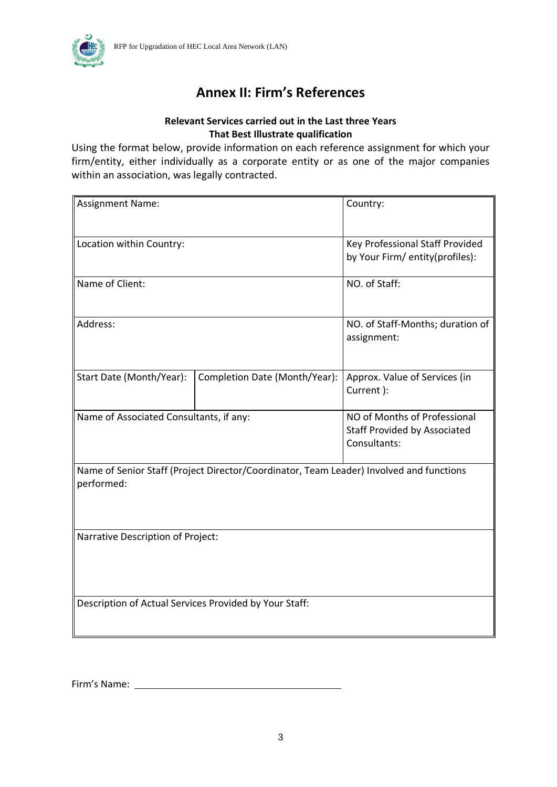

### **Annex II: Firm's References**

### **Relevant Services carried out in the Last three Years That Best Illustrate qualification**

Using the format below, provide information on each reference assignment for which your firm/entity, either individually as a corporate entity or as one of the major companies within an association, was legally contracted.

| <b>Assignment Name:</b>                                                                               | Country:                                                                            |  |  |  |  |
|-------------------------------------------------------------------------------------------------------|-------------------------------------------------------------------------------------|--|--|--|--|
| Location within Country:                                                                              | Key Professional Staff Provided<br>by Your Firm/ entity(profiles):                  |  |  |  |  |
| Name of Client:                                                                                       | NO. of Staff:                                                                       |  |  |  |  |
| Address:                                                                                              | NO. of Staff-Months; duration of<br>assignment:                                     |  |  |  |  |
| Start Date (Month/Year):                                                                              | Approx. Value of Services (in<br>Current ):                                         |  |  |  |  |
| Name of Associated Consultants, if any:                                                               | NO of Months of Professional<br><b>Staff Provided by Associated</b><br>Consultants: |  |  |  |  |
| Name of Senior Staff (Project Director/Coordinator, Team Leader) Involved and functions<br>performed: |                                                                                     |  |  |  |  |
| Narrative Description of Project:                                                                     |                                                                                     |  |  |  |  |
| Description of Actual Services Provided by Your Staff:                                                |                                                                                     |  |  |  |  |

Firm's Name: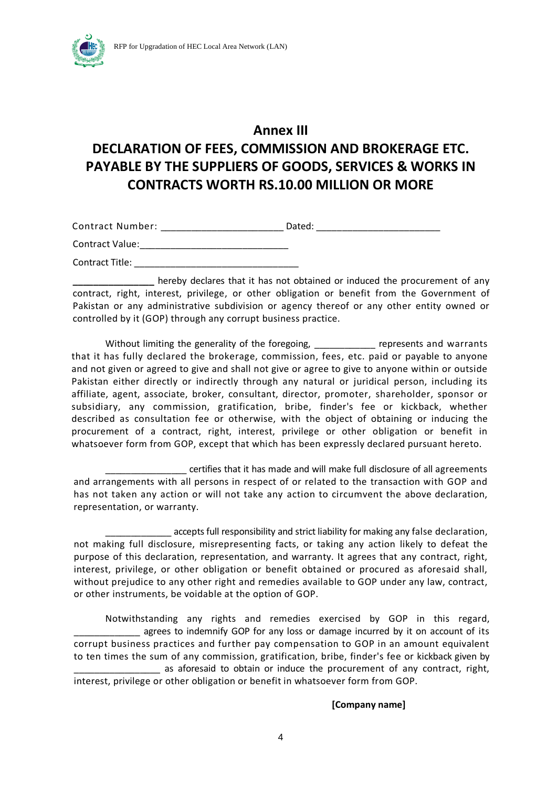

### **Annex III**

### **DECLARATION OF FEES, COMMISSION AND BROKERAGE ETC. PAYABLE BY THE SUPPLIERS OF GOODS, SERVICES & WORKS IN CONTRACTS WORTH RS.10.00 MILLION OR MORE**

| Contract Number:       | Dated: |
|------------------------|--------|
| <b>Contract Value:</b> |        |

Contract Title:

**\_\_\_\_\_\_\_\_\_\_\_\_\_\_\_\_** hereby declares that it has not obtained or induced the procurement of any contract, right, interest, privilege, or other obligation or benefit from the Government of Pakistan or any administrative subdivision or agency thereof or any other entity owned or controlled by it (GOP) through any corrupt business practice.

Without limiting the generality of the foregoing, entity represents and warrants that it has fully declared the brokerage, commission, fees, etc. paid or payable to anyone and not given or agreed to give and shall not give or agree to give to anyone within or outside Pakistan either directly or indirectly through any natural or juridical person, including its affiliate, agent, associate, broker, consultant, director, promoter, shareholder, sponsor or subsidiary, any commission, gratification, bribe, finder's fee or kickback, whether described as consultation fee or otherwise, with the object of obtaining or inducing the procurement of a contract, right, interest, privilege or other obligation or benefit in whatsoever form from GOP, except that which has been expressly declared pursuant hereto.

\_\_\_\_\_\_\_\_\_\_\_\_\_\_\_\_ certifies that it has made and will make full disclosure of all agreements and arrangements with all persons in respect of or related to the transaction with GOP and has not taken any action or will not take any action to circumvent the above declaration, representation, or warranty.

accepts full responsibility and strict liability for making any false declaration, not making full disclosure, misrepresenting facts, or taking any action likely to defeat the purpose of this declaration, representation, and warranty. It agrees that any contract, right, interest, privilege, or other obligation or benefit obtained or procured as aforesaid shall, without prejudice to any other right and remedies available to GOP under any law, contract, or other instruments, be voidable at the option of GOP.

Notwithstanding any rights and remedies exercised by GOP in this regard, agrees to indemnify GOP for any loss or damage incurred by it on account of its corrupt business practices and further pay compensation to GOP in an amount equivalent to ten times the sum of any commission, gratification, bribe, finder's fee or kickback given by as aforesaid to obtain or induce the procurement of any contract, right, interest, privilege or other obligation or benefit in whatsoever form from GOP.

#### **[Company name]**